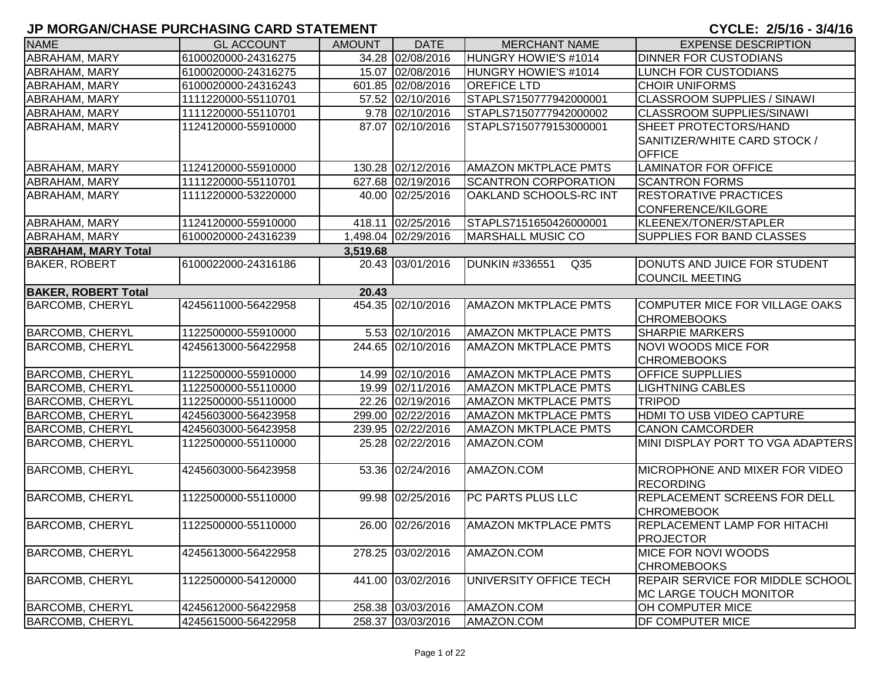| <b>NAME</b>                | <b>GL ACCOUNT</b>   | <b>AMOUNT</b> | <b>DATE</b>         | <b>MERCHANT NAME</b>                     | <b>EXPENSE DESCRIPTION</b>              |
|----------------------------|---------------------|---------------|---------------------|------------------------------------------|-----------------------------------------|
| ABRAHAM, MARY              | 6100020000-24316275 |               | 34.28 02/08/2016    | HUNGRY HOWIE'S #1014                     | <b>DINNER FOR CUSTODIANS</b>            |
| <b>ABRAHAM, MARY</b>       | 6100020000-24316275 |               | 15.07 02/08/2016    | HUNGRY HOWIE'S #1014                     | LUNCH FOR CUSTODIANS                    |
| <b>ABRAHAM, MARY</b>       | 6100020000-24316243 |               | 601.85 02/08/2016   | <b>OREFICE LTD</b>                       | <b>CHOIR UNIFORMS</b>                   |
| <b>ABRAHAM, MARY</b>       | 1111220000-55110701 |               | 57.52 02/10/2016    | STAPLS7150777942000001                   | <b>CLASSROOM SUPPLIES / SINAWI</b>      |
| <b>ABRAHAM, MARY</b>       | 1111220000-55110701 |               | 9.78 02/10/2016     | STAPLS7150777942000002                   | <b>CLASSROOM SUPPLIES/SINAWI</b>        |
| ABRAHAM, MARY              | 1124120000-55910000 |               | 87.07 02/10/2016    | STAPLS7150779153000001                   | SHEET PROTECTORS/HAND                   |
|                            |                     |               |                     |                                          | SANITIZER/WHITE CARD STOCK /            |
|                            |                     |               |                     |                                          | <b>OFFICE</b>                           |
| <b>ABRAHAM, MARY</b>       | 1124120000-55910000 |               | 130.28 02/12/2016   | <b>AMAZON MKTPLACE PMTS</b>              | <b>LAMINATOR FOR OFFICE</b>             |
| <b>ABRAHAM, MARY</b>       | 1111220000-55110701 |               | 627.68 02/19/2016   | <b>SCANTRON CORPORATION</b>              | <b>SCANTRON FORMS</b>                   |
| <b>ABRAHAM, MARY</b>       | 1111220000-53220000 |               | 40.00 02/25/2016    | OAKLAND SCHOOLS-RC INT                   | <b>RESTORATIVE PRACTICES</b>            |
|                            |                     |               |                     |                                          | <b>CONFERENCE/KILGORE</b>               |
| <b>ABRAHAM, MARY</b>       | 1124120000-55910000 |               | 418.11 02/25/2016   | STAPLS7151650426000001                   | KLEENEX/TONER/STAPLER                   |
| <b>ABRAHAM, MARY</b>       | 6100020000-24316239 |               | 1,498.04 02/29/2016 | <b>MARSHALL MUSIC CO</b>                 | <b>SUPPLIES FOR BAND CLASSES</b>        |
| <b>ABRAHAM, MARY Total</b> |                     | 3,519.68      |                     |                                          |                                         |
| <b>BAKER, ROBERT</b>       | 6100022000-24316186 |               | 20.43 03/01/2016    | <b>DUNKIN #336551</b><br>Q <sub>35</sub> | DONUTS AND JUICE FOR STUDENT            |
|                            |                     |               |                     |                                          | <b>COUNCIL MEETING</b>                  |
| <b>BAKER, ROBERT Total</b> |                     | 20.43         |                     |                                          |                                         |
| <b>BARCOMB, CHERYL</b>     | 4245611000-56422958 |               | 454.35 02/10/2016   | <b>AMAZON MKTPLACE PMTS</b>              | COMPUTER MICE FOR VILLAGE OAKS          |
|                            |                     |               |                     |                                          | <b>CHROMEBOOKS</b>                      |
| <b>BARCOMB, CHERYL</b>     | 1122500000-55910000 |               | 5.53 02/10/2016     | <b>AMAZON MKTPLACE PMTS</b>              | <b>SHARPIE MARKERS</b>                  |
| <b>BARCOMB, CHERYL</b>     | 4245613000-56422958 |               | 244.65 02/10/2016   | <b>AMAZON MKTPLACE PMTS</b>              | <b>NOVI WOODS MICE FOR</b>              |
|                            |                     |               |                     |                                          | <b>CHROMEBOOKS</b>                      |
| <b>BARCOMB, CHERYL</b>     | 1122500000-55910000 |               | 14.99 02/10/2016    | <b>AMAZON MKTPLACE PMTS</b>              | <b>OFFICE SUPPLLIES</b>                 |
| <b>BARCOMB, CHERYL</b>     | 1122500000-55110000 |               | 19.99 02/11/2016    | <b>AMAZON MKTPLACE PMTS</b>              | <b>LIGHTNING CABLES</b>                 |
| <b>BARCOMB, CHERYL</b>     | 1122500000-55110000 |               | 22.26 02/19/2016    | <b>AMAZON MKTPLACE PMTS</b>              | <b>TRIPOD</b>                           |
| <b>BARCOMB, CHERYL</b>     | 4245603000-56423958 |               | 299.00 02/22/2016   | <b>AMAZON MKTPLACE PMTS</b>              | HDMI TO USB VIDEO CAPTURE               |
| <b>BARCOMB, CHERYL</b>     | 4245603000-56423958 |               | 239.95 02/22/2016   | <b>AMAZON MKTPLACE PMTS</b>              | <b>CANON CAMCORDER</b>                  |
| <b>BARCOMB, CHERYL</b>     | 1122500000-55110000 |               | 25.28 02/22/2016    | AMAZON.COM                               | MINI DISPLAY PORT TO VGA ADAPTERS       |
| <b>BARCOMB, CHERYL</b>     | 4245603000-56423958 |               | 53.36 02/24/2016    | AMAZON.COM                               | MICROPHONE AND MIXER FOR VIDEO          |
|                            |                     |               |                     |                                          | <b>RECORDING</b>                        |
| <b>BARCOMB, CHERYL</b>     | 1122500000-55110000 |               | 99.98 02/25/2016    | PC PARTS PLUS LLC                        | <b>REPLACEMENT SCREENS FOR DELL</b>     |
|                            |                     |               |                     |                                          | <b>CHROMEBOOK</b>                       |
| <b>BARCOMB, CHERYL</b>     | 1122500000-55110000 |               | 26.00 02/26/2016    | <b>AMAZON MKTPLACE PMTS</b>              | <b>REPLACEMENT LAMP FOR HITACHI</b>     |
|                            |                     |               |                     |                                          | <b>PROJECTOR</b>                        |
| <b>BARCOMB, CHERYL</b>     | 4245613000-56422958 |               | 278.25 03/02/2016   | AMAZON.COM                               | MICE FOR NOVI WOODS                     |
|                            |                     |               |                     |                                          | <b>CHROMEBOOKS</b>                      |
| <b>BARCOMB, CHERYL</b>     | 1122500000-54120000 |               | 441.00 03/02/2016   | UNIVERSITY OFFICE TECH                   | <b>REPAIR SERVICE FOR MIDDLE SCHOOL</b> |
|                            |                     |               |                     |                                          | <b>MC LARGE TOUCH MONITOR</b>           |
| <b>BARCOMB, CHERYL</b>     | 4245612000-56422958 |               | 258.38 03/03/2016   | AMAZON.COM                               | <b>OH COMPUTER MICE</b>                 |
| <b>BARCOMB, CHERYL</b>     | 4245615000-56422958 |               | 258.37 03/03/2016   | AMAZON.COM                               | <b>DF COMPUTER MICE</b>                 |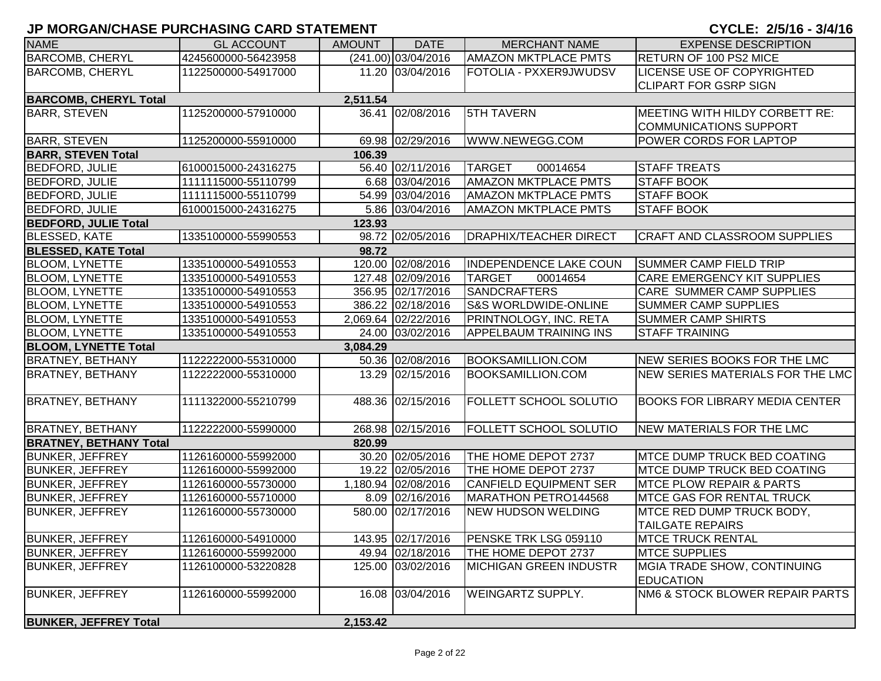| <b>NAME</b>                   | <b>GL ACCOUNT</b>   | <b>AMOUNT</b> | <b>DATE</b>           | <b>MERCHANT NAME</b>            | <b>EXPENSE DESCRIPTION</b>                      |
|-------------------------------|---------------------|---------------|-----------------------|---------------------------------|-------------------------------------------------|
| <b>BARCOMB, CHERYL</b>        | 4245600000-56423958 |               | $(241.00)$ 03/04/2016 | <b>AMAZON MKTPLACE PMTS</b>     | <b>RETURN OF 100 PS2 MICE</b>                   |
| <b>BARCOMB, CHERYL</b>        | 1122500000-54917000 |               | 11.20 03/04/2016      | FOTOLIA - PXXER9JWUDSV          | <b>LICENSE USE OF COPYRIGHTED</b>               |
|                               |                     |               |                       |                                 | <b>CLIPART FOR GSRP SIGN</b>                    |
| <b>BARCOMB, CHERYL Total</b>  |                     | 2,511.54      |                       |                                 |                                                 |
| <b>BARR, STEVEN</b>           | 1125200000-57910000 |               | 36.41 02/08/2016      | <b>5TH TAVERN</b>               | MEETING WITH HILDY CORBETT RE:                  |
|                               |                     |               |                       |                                 | COMMUNICATIONS SUPPORT                          |
| <b>BARR, STEVEN</b>           | 1125200000-55910000 |               | 69.98 02/29/2016      | WWW.NEWEGG.COM                  | <b>POWER CORDS FOR LAPTOP</b>                   |
| <b>BARR, STEVEN Total</b>     |                     | 106.39        |                       |                                 |                                                 |
| <b>BEDFORD, JULIE</b>         | 6100015000-24316275 |               | 56.40 02/11/2016      | <b>TARGET</b><br>00014654       | <b>STAFF TREATS</b>                             |
| <b>BEDFORD, JULIE</b>         | 1111115000-55110799 |               | 6.68 03/04/2016       | <b>AMAZON MKTPLACE PMTS</b>     | <b>STAFF BOOK</b>                               |
| <b>BEDFORD, JULIE</b>         | 1111115000-55110799 |               | 54.99 03/04/2016      | <b>AMAZON MKTPLACE PMTS</b>     | <b>STAFF BOOK</b>                               |
| <b>BEDFORD, JULIE</b>         | 6100015000-24316275 |               | 5.86 03/04/2016       | <b>AMAZON MKTPLACE PMTS</b>     | <b>STAFF BOOK</b>                               |
| <b>BEDFORD, JULIE Total</b>   |                     | 123.93        |                       |                                 |                                                 |
| <b>BLESSED, KATE</b>          | 1335100000-55990553 |               | 98.72 02/05/2016      | <b>DRAPHIX/TEACHER DIRECT</b>   | <b>CRAFT AND CLASSROOM SUPPLIES</b>             |
| <b>BLESSED, KATE Total</b>    |                     | 98.72         |                       |                                 |                                                 |
| <b>BLOOM, LYNETTE</b>         | 1335100000-54910553 |               | 120.00 02/08/2016     | <b>INDEPENDENCE LAKE COUN</b>   | <b>SUMMER CAMP FIELD TRIP</b>                   |
| <b>BLOOM, LYNETTE</b>         | 1335100000-54910553 |               | 127.48 02/09/2016     | <b>TARGET</b><br>00014654       | <b>CARE EMERGENCY KIT SUPPLIES</b>              |
| <b>BLOOM, LYNETTE</b>         | 1335100000-54910553 |               | 356.95 02/17/2016     | <b>SANDCRAFTERS</b>             | <b>CARE SUMMER CAMP SUPPLIES</b>                |
| <b>BLOOM, LYNETTE</b>         | 1335100000-54910553 |               | 386.22 02/18/2016     | <b>S&amp;S WORLDWIDE-ONLINE</b> | <b>SUMMER CAMP SUPPLIES</b>                     |
| <b>BLOOM, LYNETTE</b>         | 1335100000-54910553 |               | 2,069.64 02/22/2016   | PRINTNOLOGY, INC. RETA          | <b>SUMMER CAMP SHIRTS</b>                       |
| <b>BLOOM, LYNETTE</b>         | 1335100000-54910553 |               | 24.00 03/02/2016      | <b>APPELBAUM TRAINING INS</b>   | <b>STAFF TRAINING</b>                           |
| <b>BLOOM, LYNETTE Total</b>   |                     | 3,084.29      |                       |                                 |                                                 |
| <b>BRATNEY, BETHANY</b>       | 1122222000-55310000 |               | 50.36 02/08/2016      | <b>BOOKSAMILLION.COM</b>        | NEW SERIES BOOKS FOR THE LMC                    |
| <b>BRATNEY, BETHANY</b>       | 1122222000-55310000 |               | 13.29 02/15/2016      | <b>BOOKSAMILLION.COM</b>        | NEW SERIES MATERIALS FOR THE LMC                |
| <b>BRATNEY, BETHANY</b>       | 1111322000-55210799 |               | 488.36 02/15/2016     | FOLLETT SCHOOL SOLUTIO          | <b>BOOKS FOR LIBRARY MEDIA CENTER</b>           |
|                               |                     |               |                       |                                 |                                                 |
| <b>BRATNEY, BETHANY</b>       | 1122222000-55990000 |               | 268.98 02/15/2016     | <b>FOLLETT SCHOOL SOLUTIO</b>   | NEW MATERIALS FOR THE LMC                       |
| <b>BRATNEY, BETHANY Total</b> |                     | 820.99        |                       |                                 |                                                 |
| <b>BUNKER, JEFFREY</b>        | 1126160000-55992000 |               | 30.20 02/05/2016      | THE HOME DEPOT 2737             | <b>MTCE DUMP TRUCK BED COATING</b>              |
| <b>BUNKER, JEFFREY</b>        | 1126160000-55992000 |               | 19.22 02/05/2016      | THE HOME DEPOT 2737             | <b>IMTCE DUMP TRUCK BED COATING</b>             |
| <b>BUNKER, JEFFREY</b>        | 1126160000-55730000 |               | 1,180.94 02/08/2016   | <b>CANFIELD EQUIPMENT SER</b>   | <b>IMTCE PLOW REPAIR &amp; PARTS</b>            |
| <b>BUNKER, JEFFREY</b>        | 1126160000-55710000 |               | 8.09 02/16/2016       | MARATHON PETRO144568            | <b>IMTCE GAS FOR RENTAL TRUCK</b>               |
| <b>BUNKER, JEFFREY</b>        | 1126160000-55730000 |               | 580.00 02/17/2016     | NEW HUDSON WELDING              | MTCE RED DUMP TRUCK BODY,                       |
|                               |                     |               |                       |                                 | <b>TAILGATE REPAIRS</b>                         |
| <b>BUNKER, JEFFREY</b>        | 1126160000-54910000 |               | 143.95 02/17/2016     | PENSKE TRK LSG 059110           | <b>MTCE TRUCK RENTAL</b>                        |
| <b>BUNKER, JEFFREY</b>        | 1126160000-55992000 |               | 49.94 02/18/2016      | THE HOME DEPOT 2737             | <b>MTCE SUPPLIES</b>                            |
| <b>BUNKER, JEFFREY</b>        | 1126100000-53220828 |               | 125.00 03/02/2016     | MICHIGAN GREEN INDUSTR          | MGIA TRADE SHOW, CONTINUING<br><b>EDUCATION</b> |
| <b>BUNKER, JEFFREY</b>        | 1126160000-55992000 |               | 16.08 03/04/2016      | <b>WEINGARTZ SUPPLY.</b>        | NM6 & STOCK BLOWER REPAIR PARTS                 |
| <b>BUNKER, JEFFREY Total</b>  |                     | 2,153.42      |                       |                                 |                                                 |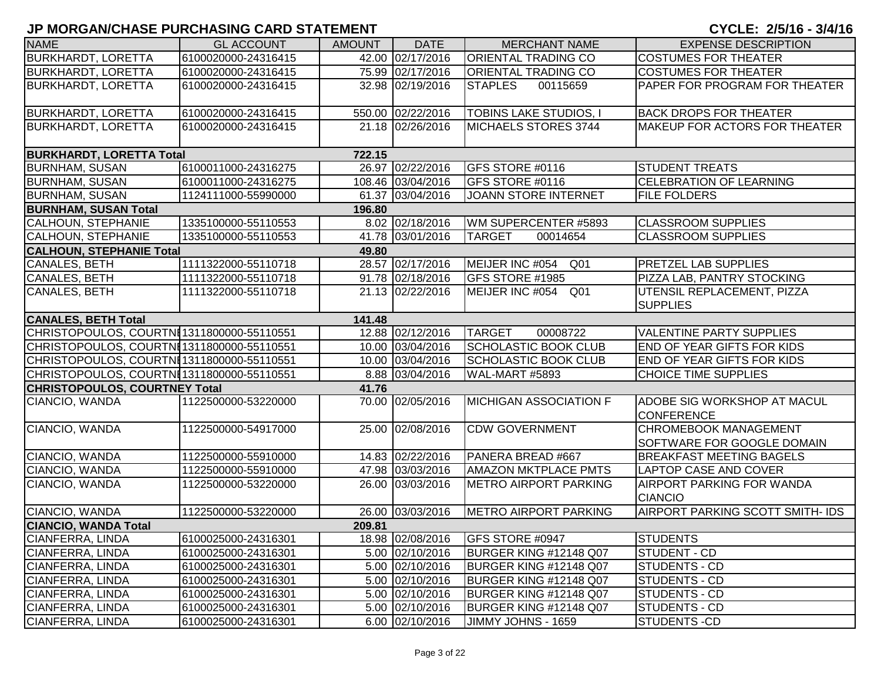| <b>NAME</b>                               | <b>GL ACCOUNT</b>   | <b>AMOUNT</b> | <b>DATE</b>       | <b>MERCHANT NAME</b>               | <b>EXPENSE DESCRIPTION</b>                                 |
|-------------------------------------------|---------------------|---------------|-------------------|------------------------------------|------------------------------------------------------------|
| <b>BURKHARDT, LORETTA</b>                 | 6100020000-24316415 |               | 42.00 02/17/2016  | <b>ORIENTAL TRADING CO</b>         | <b>COSTUMES FOR THEATER</b>                                |
| <b>BURKHARDT, LORETTA</b>                 | 6100020000-24316415 |               | 75.99 02/17/2016  | <b>ORIENTAL TRADING CO</b>         | <b>COSTUMES FOR THEATER</b>                                |
| <b>BURKHARDT, LORETTA</b>                 | 6100020000-24316415 |               | 32.98 02/19/2016  | <b>STAPLES</b><br>00115659         | PAPER FOR PROGRAM FOR THEATER                              |
| <b>BURKHARDT, LORETTA</b>                 | 6100020000-24316415 |               | 550.00 02/22/2016 | <b>TOBINS LAKE STUDIOS, I</b>      | <b>BACK DROPS FOR THEATER</b>                              |
| <b>BURKHARDT, LORETTA</b>                 | 6100020000-24316415 |               | 21.18 02/26/2016  | MICHAELS STORES 3744               | <b>MAKEUP FOR ACTORS FOR THEATER</b>                       |
| <b>BURKHARDT, LORETTA Total</b>           |                     | 722.15        |                   |                                    |                                                            |
| <b>BURNHAM, SUSAN</b>                     | 6100011000-24316275 |               | 26.97 02/22/2016  | GFS STORE #0116                    | <b>STUDENT TREATS</b>                                      |
| <b>BURNHAM, SUSAN</b>                     | 6100011000-24316275 |               | 108.46 03/04/2016 | GFS STORE #0116                    | <b>CELEBRATION OF LEARNING</b>                             |
| <b>BURNHAM, SUSAN</b>                     | 1124111000-55990000 |               | 61.37 03/04/2016  | <b>JOANN STORE INTERNET</b>        | <b>FILE FOLDERS</b>                                        |
| <b>BURNHAM, SUSAN Total</b>               |                     | 196.80        |                   |                                    |                                                            |
| <b>CALHOUN, STEPHANIE</b>                 | 1335100000-55110553 |               | 8.02 02/18/2016   | WM SUPERCENTER #5893               | <b>CLASSROOM SUPPLIES</b>                                  |
| <b>CALHOUN, STEPHANIE</b>                 | 1335100000-55110553 |               | 41.78 03/01/2016  | <b>TARGET</b><br>00014654          | <b>CLASSROOM SUPPLIES</b>                                  |
| <b>CALHOUN, STEPHANIE Total</b>           |                     | 49.80         |                   |                                    |                                                            |
| <b>CANALES, BETH</b>                      | 1111322000-55110718 |               | 28.57 02/17/2016  | MEIJER INC #054<br>Q <sub>01</sub> | <b>PRETZEL LAB SUPPLIES</b>                                |
| <b>CANALES, BETH</b>                      | 1111322000-55110718 |               | 91.78 02/18/2016  | GFS STORE #1985                    | PIZZA LAB, PANTRY STOCKING                                 |
| CANALES, BETH                             | 1111322000-55110718 |               | 21.13 02/22/2016  | MEIJER INC #054 Q01                | UTENSIL REPLACEMENT, PIZZA<br><b>SUPPLIES</b>              |
| <b>CANALES, BETH Total</b>                |                     | 141.48        |                   |                                    |                                                            |
| CHRISTOPOULOS, COURTNE1311800000-55110551 |                     |               | 12.88 02/12/2016  | <b>TARGET</b><br>00008722          | <b>VALENTINE PARTY SUPPLIES</b>                            |
| CHRISTOPOULOS, COURTNE1311800000-55110551 |                     |               | 10.00 03/04/2016  | <b>SCHOLASTIC BOOK CLUB</b>        | <b>END OF YEAR GIFTS FOR KIDS</b>                          |
| CHRISTOPOULOS, COURTNE1311800000-55110551 |                     |               | 10.00 03/04/2016  | <b>SCHOLASTIC BOOK CLUB</b>        | <b>END OF YEAR GIFTS FOR KIDS</b>                          |
| CHRISTOPOULOS, COURTNE1311800000-55110551 |                     |               | 8.88 03/04/2016   | WAL-MART #5893                     | <b>CHOICE TIME SUPPLIES</b>                                |
| <b>CHRISTOPOULOS, COURTNEY Total</b>      |                     | 41.76         |                   |                                    |                                                            |
| CIANCIO, WANDA                            | 1122500000-53220000 |               | 70.00 02/05/2016  | <b>MICHIGAN ASSOCIATION F</b>      | <b>ADOBE SIG WORKSHOP AT MACUL</b><br><b>CONFERENCE</b>    |
| CIANCIO, WANDA                            | 1122500000-54917000 |               | 25.00 02/08/2016  | <b>CDW GOVERNMENT</b>              | <b>CHROMEBOOK MANAGEMENT</b><br>SOFTWARE FOR GOOGLE DOMAIN |
| CIANCIO, WANDA                            | 1122500000-55910000 |               | 14.83 02/22/2016  | PANERA BREAD #667                  | <b>BREAKFAST MEETING BAGELS</b>                            |
| CIANCIO, WANDA                            | 1122500000-55910000 |               | 47.98 03/03/2016  | <b>AMAZON MKTPLACE PMTS</b>        | <b>LAPTOP CASE AND COVER</b>                               |
| CIANCIO, WANDA                            | 1122500000-53220000 |               | 26.00 03/03/2016  | <b>METRO AIRPORT PARKING</b>       | <b>AIRPORT PARKING FOR WANDA</b><br><b>CIANCIO</b>         |
| CIANCIO, WANDA                            | 1122500000-53220000 |               | 26.00 03/03/2016  | <b>IMETRO AIRPORT PARKING</b>      | AIRPORT PARKING SCOTT SMITH- IDS                           |
| <b>CIANCIO, WANDA Total</b>               |                     | 209.81        |                   |                                    |                                                            |
| <b>CIANFERRA, LINDA</b>                   | 6100025000-24316301 |               | 18.98 02/08/2016  | GFS STORE #0947                    | <b>STUDENTS</b>                                            |
| <b>CIANFERRA, LINDA</b>                   | 6100025000-24316301 |               | 5.00 02/10/2016   | BURGER KING #12148 Q07             | <b>STUDENT - CD</b>                                        |
| CIANFERRA, LINDA                          | 6100025000-24316301 |               | 5.00 02/10/2016   | BURGER KING #12148 Q07             | STUDENTS - CD                                              |
| CIANFERRA, LINDA                          | 6100025000-24316301 |               | 5.00 02/10/2016   | BURGER KING #12148 Q07             | STUDENTS - CD                                              |
| <b>CIANFERRA, LINDA</b>                   | 6100025000-24316301 |               | 5.00 02/10/2016   | BURGER KING #12148 Q07             | <b>STUDENTS - CD</b>                                       |
| <b>CIANFERRA, LINDA</b>                   | 6100025000-24316301 |               | 5.00 02/10/2016   | BURGER KING #12148 Q07             | <b>STUDENTS - CD</b>                                       |
| CIANFERRA, LINDA                          | 6100025000-24316301 |               | 6.00 02/10/2016   | JIMMY JOHNS - 1659                 | <b>STUDENTS-CD</b>                                         |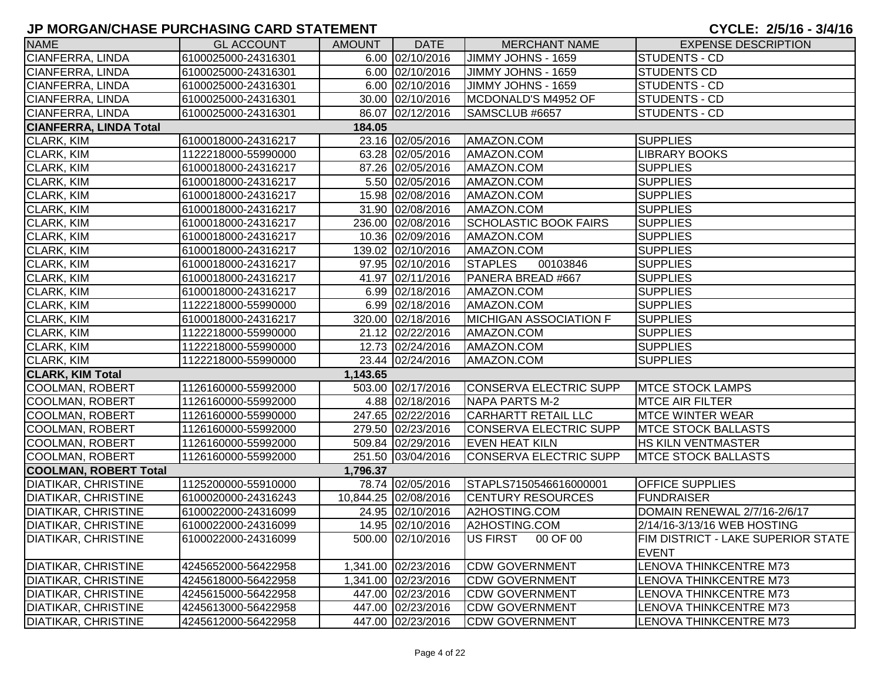| <b>NAME</b>                   | <b>GL ACCOUNT</b>   | <b>AMOUNT</b> | <b>DATE</b>          | <b>MERCHANT NAME</b>          | <b>EXPENSE DESCRIPTION</b>                         |
|-------------------------------|---------------------|---------------|----------------------|-------------------------------|----------------------------------------------------|
| CIANFERRA, LINDA              | 6100025000-24316301 |               | 6.00 02/10/2016      | JIMMY JOHNS - 1659            | STUDENTS - CD                                      |
| CIANFERRA, LINDA              | 6100025000-24316301 |               | 6.00 02/10/2016      | JIMMY JOHNS - 1659            | <b>STUDENTS CD</b>                                 |
| CIANFERRA, LINDA              | 6100025000-24316301 |               | 6.00 02/10/2016      | JIMMY JOHNS - 1659            | STUDENTS - CD                                      |
| <b>CIANFERRA, LINDA</b>       | 6100025000-24316301 |               | 30.00 02/10/2016     | MCDONALD'S M4952 OF           | <b>STUDENTS - CD</b>                               |
| CIANFERRA, LINDA              | 6100025000-24316301 |               | 86.07 02/12/2016     | SAMSCLUB #6657                | <b>STUDENTS - CD</b>                               |
| <b>CIANFERRA, LINDA Total</b> |                     | 184.05        |                      |                               |                                                    |
| <b>CLARK, KIM</b>             | 6100018000-24316217 |               | 23.16 02/05/2016     | AMAZON.COM                    | <b>SUPPLIES</b>                                    |
| <b>CLARK, KIM</b>             | 1122218000-55990000 |               | 63.28 02/05/2016     | AMAZON.COM                    | <b>LIBRARY BOOKS</b>                               |
| CLARK, KIM                    | 6100018000-24316217 |               | 87.26 02/05/2016     | AMAZON.COM                    | <b>SUPPLIES</b>                                    |
| CLARK, KIM                    | 6100018000-24316217 |               | 5.50 02/05/2016      | AMAZON.COM                    | <b>SUPPLIES</b>                                    |
| CLARK, KIM                    | 6100018000-24316217 |               | 15.98 02/08/2016     | AMAZON.COM                    | <b>SUPPLIES</b>                                    |
| CLARK, KIM                    | 6100018000-24316217 |               | 31.90 02/08/2016     | AMAZON.COM                    | <b>SUPPLIES</b>                                    |
| CLARK, KIM                    | 6100018000-24316217 |               | 236.00 02/08/2016    | <b>SCHOLASTIC BOOK FAIRS</b>  | <b>SUPPLIES</b>                                    |
| CLARK, KIM                    | 6100018000-24316217 |               | 10.36 02/09/2016     | AMAZON.COM                    | <b>SUPPLIES</b>                                    |
| CLARK, KIM                    | 6100018000-24316217 |               | 139.02 02/10/2016    | AMAZON.COM                    | <b>SUPPLIES</b>                                    |
| <b>CLARK, KIM</b>             | 6100018000-24316217 |               | 97.95 02/10/2016     | <b>STAPLES</b><br>00103846    | <b>SUPPLIES</b>                                    |
| CLARK, KIM                    | 6100018000-24316217 |               | 41.97 02/11/2016     | PANERA BREAD #667             | <b>SUPPLIES</b>                                    |
| <b>CLARK, KIM</b>             | 6100018000-24316217 |               | 6.99 02/18/2016      | AMAZON.COM                    | <b>SUPPLIES</b>                                    |
| CLARK, KIM                    | 1122218000-55990000 |               | 6.99 02/18/2016      | AMAZON.COM                    | <b>SUPPLIES</b>                                    |
| <b>CLARK, KIM</b>             | 6100018000-24316217 |               | 320.00 02/18/2016    | <b>MICHIGAN ASSOCIATION F</b> | <b>SUPPLIES</b>                                    |
| <b>CLARK, KIM</b>             | 1122218000-55990000 |               | 21.12 02/22/2016     | AMAZON.COM                    | <b>SUPPLIES</b>                                    |
| <b>CLARK, KIM</b>             | 1122218000-55990000 |               | 12.73 02/24/2016     | AMAZON.COM                    | <b>SUPPLIES</b>                                    |
| <b>CLARK, KIM</b>             | 1122218000-55990000 |               | 23.44 02/24/2016     | AMAZON.COM                    | <b>SUPPLIES</b>                                    |
| <b>CLARK, KIM Total</b>       |                     | 1,143.65      |                      |                               |                                                    |
| <b>COOLMAN, ROBERT</b>        | 1126160000-55992000 |               | 503.00 02/17/2016    | CONSERVA ELECTRIC SUPP        | <b>MTCE STOCK LAMPS</b>                            |
| <b>COOLMAN, ROBERT</b>        | 1126160000-55992000 |               | 4.88 02/18/2016      | NAPA PARTS M-2                | <b>MTCE AIR FILTER</b>                             |
| <b>COOLMAN, ROBERT</b>        | 1126160000-55990000 |               | 247.65 02/22/2016    | <b>CARHARTT RETAIL LLC</b>    | <b>MTCE WINTER WEAR</b>                            |
| <b>COOLMAN, ROBERT</b>        | 1126160000-55992000 |               | 279.50 02/23/2016    | CONSERVA ELECTRIC SUPP        | <b>MTCE STOCK BALLASTS</b>                         |
| <b>COOLMAN, ROBERT</b>        | 1126160000-55992000 |               | 509.84 02/29/2016    | <b>EVEN HEAT KILN</b>         | HS KILN VENTMASTER                                 |
| <b>COOLMAN, ROBERT</b>        | 1126160000-55992000 |               | 251.50 03/04/2016    | CONSERVA ELECTRIC SUPP        | <b>MTCE STOCK BALLASTS</b>                         |
| <b>COOLMAN, ROBERT Total</b>  |                     | 1,796.37      |                      |                               |                                                    |
| <b>DIATIKAR, CHRISTINE</b>    | 1125200000-55910000 |               | 78.74 02/05/2016     | STAPLS7150546616000001        | <b>OFFICE SUPPLIES</b>                             |
| <b>DIATIKAR, CHRISTINE</b>    | 6100020000-24316243 |               | 10,844.25 02/08/2016 | <b>CENTURY RESOURCES</b>      | <b>FUNDRAISER</b>                                  |
| <b>DIATIKAR, CHRISTINE</b>    | 6100022000-24316099 |               | 24.95 02/10/2016     | A2HOSTING.COM                 | DOMAIN RENEWAL 2/7/16-2/6/17                       |
| <b>DIATIKAR, CHRISTINE</b>    | 6100022000-24316099 |               | 14.95 02/10/2016     | A2HOSTING.COM                 | 2/14/16-3/13/16 WEB HOSTING                        |
| <b>DIATIKAR, CHRISTINE</b>    | 6100022000-24316099 |               | 500.00 02/10/2016    | US FIRST<br>00 OF 00          | FIM DISTRICT - LAKE SUPERIOR STATE<br><b>EVENT</b> |
| <b>DIATIKAR, CHRISTINE</b>    | 4245652000-56422958 |               | 1,341.00 02/23/2016  | <b>CDW GOVERNMENT</b>         | <b>LENOVA THINKCENTRE M73</b>                      |
| <b>DIATIKAR, CHRISTINE</b>    | 4245618000-56422958 |               | 1,341.00 02/23/2016  | <b>CDW GOVERNMENT</b>         | LENOVA THINKCENTRE M73                             |
| <b>DIATIKAR, CHRISTINE</b>    | 4245615000-56422958 |               | 447.00 02/23/2016    | <b>CDW GOVERNMENT</b>         | <b>LENOVA THINKCENTRE M73</b>                      |
| <b>DIATIKAR, CHRISTINE</b>    | 4245613000-56422958 |               | 447.00 02/23/2016    | <b>CDW GOVERNMENT</b>         | <b>LENOVA THINKCENTRE M73</b>                      |
| <b>DIATIKAR, CHRISTINE</b>    | 4245612000-56422958 |               | 447.00 02/23/2016    | <b>CDW GOVERNMENT</b>         | <b>LENOVA THINKCENTRE M73</b>                      |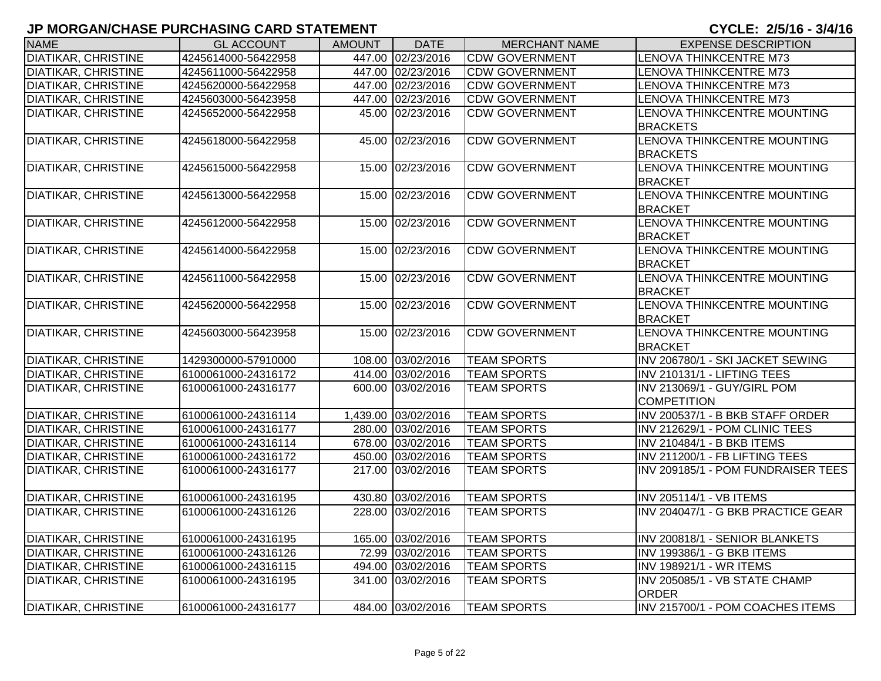| <b>NAME</b>                | <b>GL ACCOUNT</b>   | <b>AMOUNT</b> | <b>DATE</b>         | <b>MERCHANT NAME</b>  | <b>EXPENSE DESCRIPTION</b>         |
|----------------------------|---------------------|---------------|---------------------|-----------------------|------------------------------------|
| <b>DIATIKAR, CHRISTINE</b> | 4245614000-56422958 |               | 447.00 02/23/2016   | <b>CDW GOVERNMENT</b> | LENOVA THINKCENTRE M73             |
| <b>DIATIKAR, CHRISTINE</b> | 4245611000-56422958 |               | 447.00 02/23/2016   | <b>CDW GOVERNMENT</b> | <b>LENOVA THINKCENTRE M73</b>      |
| <b>DIATIKAR, CHRISTINE</b> | 4245620000-56422958 |               | 447.00 02/23/2016   | <b>CDW GOVERNMENT</b> | LENOVA THINKCENTRE M73             |
| <b>DIATIKAR, CHRISTINE</b> | 4245603000-56423958 |               | 447.00 02/23/2016   | <b>CDW GOVERNMENT</b> | LENOVA THINKCENTRE M73             |
| <b>DIATIKAR, CHRISTINE</b> | 4245652000-56422958 |               | 45.00 02/23/2016    | <b>CDW GOVERNMENT</b> | LENOVA THINKCENTRE MOUNTING        |
|                            |                     |               |                     |                       | <b>BRACKETS</b>                    |
| <b>DIATIKAR, CHRISTINE</b> | 4245618000-56422958 |               | 45.00 02/23/2016    | <b>CDW GOVERNMENT</b> | LENOVA THINKCENTRE MOUNTING        |
|                            |                     |               |                     |                       | <b>BRACKETS</b>                    |
| <b>DIATIKAR, CHRISTINE</b> | 4245615000-56422958 |               | 15.00 02/23/2016    | <b>CDW GOVERNMENT</b> | LENOVA THINKCENTRE MOUNTING        |
|                            |                     |               |                     |                       | <b>BRACKET</b>                     |
| <b>DIATIKAR, CHRISTINE</b> | 4245613000-56422958 |               | 15.00 02/23/2016    | <b>CDW GOVERNMENT</b> | LENOVA THINKCENTRE MOUNTING        |
|                            |                     |               |                     |                       | <b>BRACKET</b>                     |
| <b>DIATIKAR, CHRISTINE</b> | 4245612000-56422958 |               | 15.00 02/23/2016    | <b>CDW GOVERNMENT</b> | LENOVA THINKCENTRE MOUNTING        |
|                            |                     |               |                     |                       | <b>BRACKET</b>                     |
| <b>DIATIKAR, CHRISTINE</b> | 4245614000-56422958 |               | 15.00 02/23/2016    | <b>CDW GOVERNMENT</b> | LENOVA THINKCENTRE MOUNTING        |
|                            |                     |               |                     |                       | <b>BRACKET</b>                     |
| <b>DIATIKAR, CHRISTINE</b> | 4245611000-56422958 |               | 15.00 02/23/2016    | <b>CDW GOVERNMENT</b> | LENOVA THINKCENTRE MOUNTING        |
|                            |                     |               |                     |                       | <b>BRACKET</b>                     |
| <b>DIATIKAR, CHRISTINE</b> | 4245620000-56422958 |               | 15.00 02/23/2016    | <b>CDW GOVERNMENT</b> | LENOVA THINKCENTRE MOUNTING        |
|                            |                     |               |                     |                       | <b>BRACKET</b>                     |
| <b>DIATIKAR, CHRISTINE</b> | 4245603000-56423958 |               | 15.00 02/23/2016    | <b>CDW GOVERNMENT</b> | LENOVA THINKCENTRE MOUNTING        |
|                            |                     |               |                     |                       | <b>BRACKET</b>                     |
| <b>DIATIKAR, CHRISTINE</b> | 1429300000-57910000 |               | 108.00 03/02/2016   | <b>TEAM SPORTS</b>    | INV 206780/1 - SKI JACKET SEWING   |
| <b>DIATIKAR, CHRISTINE</b> | 6100061000-24316172 |               | 414.00 03/02/2016   | <b>TEAM SPORTS</b>    | INV 210131/1 - LIFTING TEES        |
| <b>DIATIKAR, CHRISTINE</b> | 6100061000-24316177 |               | 600.00 03/02/2016   | <b>TEAM SPORTS</b>    | INV 213069/1 - GUY/GIRL POM        |
|                            |                     |               |                     |                       | <b>COMPETITION</b>                 |
| <b>DIATIKAR, CHRISTINE</b> | 6100061000-24316114 |               | 1,439.00 03/02/2016 | <b>TEAM SPORTS</b>    | INV 200537/1 - B BKB STAFF ORDER   |
| <b>DIATIKAR, CHRISTINE</b> | 6100061000-24316177 |               | 280.00 03/02/2016   | <b>TEAM SPORTS</b>    | INV 212629/1 - POM CLINIC TEES     |
| <b>DIATIKAR, CHRISTINE</b> | 6100061000-24316114 |               | 678.00 03/02/2016   | <b>TEAM SPORTS</b>    | <b>INV 210484/1 - B BKB ITEMS</b>  |
| <b>DIATIKAR, CHRISTINE</b> | 6100061000-24316172 |               | 450.00 03/02/2016   | <b>TEAM SPORTS</b>    | INV 211200/1 - FB LIFTING TEES     |
| DIATIKAR, CHRISTINE        | 6100061000-24316177 |               | 217.00 03/02/2016   | <b>TEAM SPORTS</b>    | INV 209185/1 - POM FUNDRAISER TEES |
|                            |                     |               |                     |                       |                                    |
| <b>DIATIKAR, CHRISTINE</b> | 6100061000-24316195 |               | 430.80 03/02/2016   | <b>TEAM SPORTS</b>    | INV 205114/1 - VB ITEMS            |
| <b>DIATIKAR, CHRISTINE</b> | 6100061000-24316126 |               | 228.00 03/02/2016   | <b>TEAM SPORTS</b>    | INV 204047/1 - G BKB PRACTICE GEAR |
|                            |                     |               |                     |                       |                                    |
| <b>DIATIKAR, CHRISTINE</b> | 6100061000-24316195 |               | 165.00 03/02/2016   | <b>TEAM SPORTS</b>    | INV 200818/1 - SENIOR BLANKETS     |
| <b>DIATIKAR, CHRISTINE</b> | 6100061000-24316126 |               | 72.99 03/02/2016    | <b>TEAM SPORTS</b>    | <b>INV 199386/1 - G BKB ITEMS</b>  |
| <b>DIATIKAR, CHRISTINE</b> | 6100061000-24316115 |               | 494.00 03/02/2016   | <b>TEAM SPORTS</b>    | <b>INV 198921/1 - WR ITEMS</b>     |
| <b>DIATIKAR, CHRISTINE</b> | 6100061000-24316195 |               | 341.00 03/02/2016   | <b>TEAM SPORTS</b>    | INV 205085/1 - VB STATE CHAMP      |
|                            |                     |               |                     |                       | <b>ORDER</b>                       |
| <b>DIATIKAR, CHRISTINE</b> | 6100061000-24316177 |               | 484.00 03/02/2016   | <b>TEAM SPORTS</b>    | INV 215700/1 - POM COACHES ITEMS   |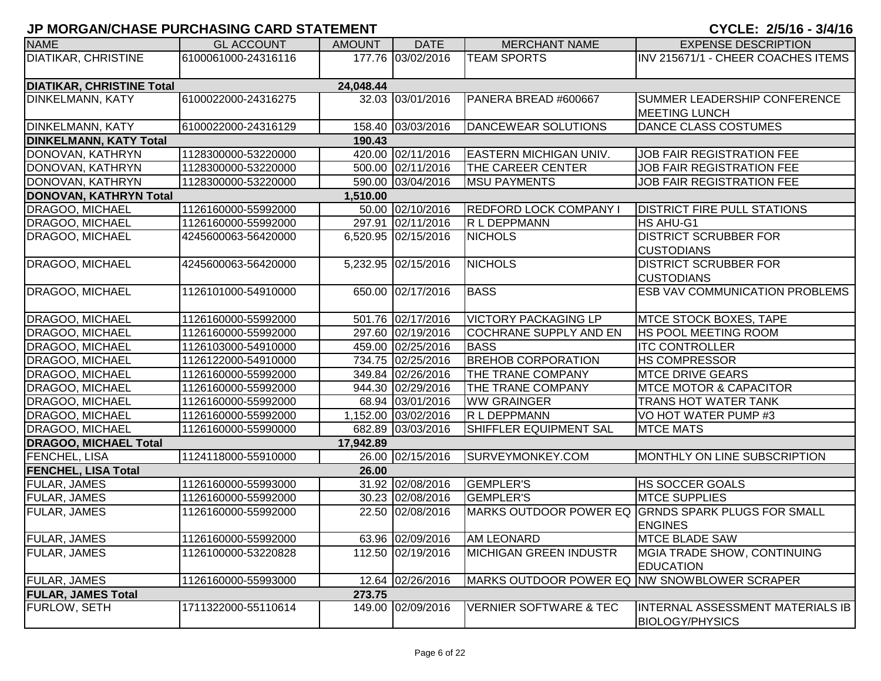| <b>NAME</b>                      | <b>GL ACCOUNT</b>   | <b>AMOUNT</b> | <b>DATE</b>         | <b>MERCHANT NAME</b>                         | <b>EXPENSE DESCRIPTION</b>            |
|----------------------------------|---------------------|---------------|---------------------|----------------------------------------------|---------------------------------------|
| <b>DIATIKAR, CHRISTINE</b>       | 6100061000-24316116 |               | 177.76 03/02/2016   | <b>TEAM SPORTS</b>                           | INV 215671/1 - CHEER COACHES ITEMS    |
|                                  |                     |               |                     |                                              |                                       |
| <b>DIATIKAR, CHRISTINE Total</b> |                     | 24,048.44     |                     |                                              |                                       |
| <b>DINKELMANN, KATY</b>          | 6100022000-24316275 |               | 32.03 03/01/2016    | PANERA BREAD #600667                         | SUMMER LEADERSHIP CONFERENCE          |
|                                  |                     |               |                     |                                              | <b>MEETING LUNCH</b>                  |
| <b>DINKELMANN, KATY</b>          | 6100022000-24316129 |               | 158.40 03/03/2016   | DANCEWEAR SOLUTIONS                          | DANCE CLASS COSTUMES                  |
| <b>DINKELMANN, KATY Total</b>    |                     | 190.43        |                     |                                              |                                       |
| DONOVAN, KATHRYN                 | 1128300000-53220000 |               | 420.00 02/11/2016   | <b>EASTERN MICHIGAN UNIV.</b>                | JOB FAIR REGISTRATION FEE             |
| DONOVAN, KATHRYN                 | 1128300000-53220000 |               | 500.00 02/11/2016   | <b>THE CAREER CENTER</b>                     | <b>JOB FAIR REGISTRATION FEE</b>      |
| DONOVAN, KATHRYN                 | 1128300000-53220000 |               | 590.00 03/04/2016   | <b>MSU PAYMENTS</b>                          | <b>JOB FAIR REGISTRATION FEE</b>      |
| DONOVAN, KATHRYN Total           |                     | 1,510.00      |                     |                                              |                                       |
| <b>DRAGOO, MICHAEL</b>           | 1126160000-55992000 |               | 50.00 02/10/2016    | <b>REDFORD LOCK COMPANY I</b>                | <b>DISTRICT FIRE PULL STATIONS</b>    |
| DRAGOO, MICHAEL                  | 1126160000-55992000 |               | 297.91 02/11/2016   | R L DEPPMANN                                 | HS AHU-G1                             |
| DRAGOO, MICHAEL                  | 4245600063-56420000 |               | 6,520.95 02/15/2016 | <b>NICHOLS</b>                               | <b>DISTRICT SCRUBBER FOR</b>          |
|                                  |                     |               |                     |                                              | <b>CUSTODIANS</b>                     |
| DRAGOO, MICHAEL                  | 4245600063-56420000 |               | 5,232.95 02/15/2016 | <b>NICHOLS</b>                               | <b>DISTRICT SCRUBBER FOR</b>          |
|                                  |                     |               |                     |                                              | <b>CUSTODIANS</b>                     |
| DRAGOO, MICHAEL                  | 1126101000-54910000 |               | 650.00 02/17/2016   | <b>BASS</b>                                  | <b>ESB VAV COMMUNICATION PROBLEMS</b> |
|                                  |                     |               |                     |                                              |                                       |
| <b>DRAGOO, MICHAEL</b>           | 1126160000-55992000 |               | 501.76 02/17/2016   | <b>VICTORY PACKAGING LP</b>                  | <b>MTCE STOCK BOXES, TAPE</b>         |
| <b>DRAGOO, MICHAEL</b>           | 1126160000-55992000 |               | 297.60 02/19/2016   | <b>COCHRANE SUPPLY AND EN</b>                | <b>HS POOL MEETING ROOM</b>           |
| <b>DRAGOO, MICHAEL</b>           | 1126103000-54910000 |               | 459.00 02/25/2016   | <b>BASS</b>                                  | <b>ITC CONTROLLER</b>                 |
| <b>DRAGOO, MICHAEL</b>           | 1126122000-54910000 |               | 734.75 02/25/2016   | <b>BREHOB CORPORATION</b>                    | <b>HS COMPRESSOR</b>                  |
| <b>DRAGOO, MICHAEL</b>           | 1126160000-55992000 |               | 349.84 02/26/2016   | THE TRANE COMPANY                            | <b>MTCE DRIVE GEARS</b>               |
| <b>DRAGOO, MICHAEL</b>           | 1126160000-55992000 |               | 944.30 02/29/2016   | THE TRANE COMPANY                            | <b>MTCE MOTOR &amp; CAPACITOR</b>     |
| <b>DRAGOO, MICHAEL</b>           | 1126160000-55992000 |               | 68.94 03/01/2016    | <b>WW GRAINGER</b>                           | TRANS HOT WATER TANK                  |
| <b>DRAGOO, MICHAEL</b>           | 1126160000-55992000 |               | 1,152.00 03/02/2016 | R L DEPPMANN                                 | VO HOT WATER PUMP #3                  |
| DRAGOO, MICHAEL                  | 1126160000-55990000 |               | 682.89 03/03/2016   | SHIFFLER EQUIPMENT SAL                       | <b>MTCE MATS</b>                      |
| <b>DRAGOO, MICHAEL Total</b>     |                     | 17,942.89     |                     |                                              |                                       |
| <b>FENCHEL, LISA</b>             | 1124118000-55910000 |               | 26.00 02/15/2016    | SURVEYMONKEY.COM                             | MONTHLY ON LINE SUBSCRIPTION          |
| <b>FENCHEL, LISA Total</b>       |                     | 26.00         |                     |                                              |                                       |
| FULAR, JAMES                     | 1126160000-55993000 |               | 31.92 02/08/2016    | <b>GEMPLER'S</b>                             | <b>HS SOCCER GOALS</b>                |
| <b>FULAR, JAMES</b>              | 1126160000-55992000 |               | 30.23 02/08/2016    | <b>GEMPLER'S</b>                             | <b>MTCE SUPPLIES</b>                  |
| <b>FULAR, JAMES</b>              | 1126160000-55992000 |               | 22.50 02/08/2016    | MARKS OUTDOOR POWER EQ                       | <b>GRNDS SPARK PLUGS FOR SMALL</b>    |
|                                  |                     |               |                     |                                              | <b>ENGINES</b>                        |
| <b>FULAR, JAMES</b>              | 1126160000-55992000 |               | 63.96 02/09/2016    | <b>AM LEONARD</b>                            | <b>MTCE BLADE SAW</b>                 |
| <b>FULAR, JAMES</b>              | 1126100000-53220828 |               | 112.50 02/19/2016   | <b>MICHIGAN GREEN INDUSTR</b>                | MGIA TRADE SHOW, CONTINUING           |
|                                  |                     |               |                     |                                              | <b>EDUCATION</b>                      |
| <b>FULAR, JAMES</b>              | 1126160000-55993000 |               | 12.64 02/26/2016    | MARKS OUTDOOR POWER EQ NW SNOWBLOWER SCRAPER |                                       |
| <b>FULAR, JAMES Total</b>        |                     | 273.75        |                     |                                              |                                       |
| <b>FURLOW, SETH</b>              | 1711322000-55110614 |               | 149.00 02/09/2016   | <b>VERNIER SOFTWARE &amp; TEC</b>            | INTERNAL ASSESSMENT MATERIALS IB      |
|                                  |                     |               |                     |                                              | <b>BIOLOGY/PHYSICS</b>                |
|                                  |                     |               |                     |                                              |                                       |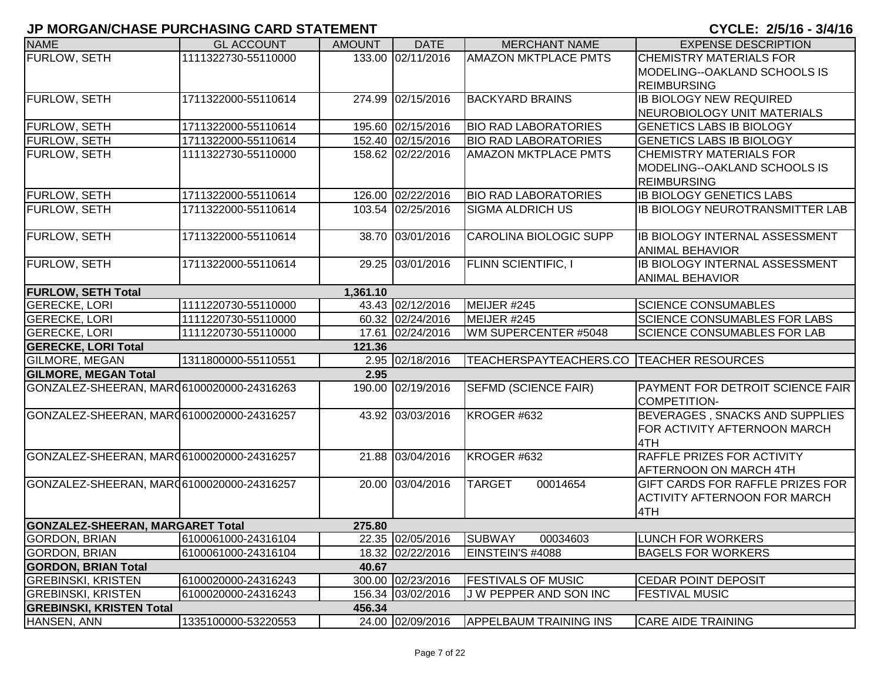| <b>NAME</b>                               | <b>GL ACCOUNT</b>   | <b>AMOUNT</b> | <b>DATE</b>       | <b>MERCHANT NAME</b>                       | <b>EXPENSE DESCRIPTION</b>             |
|-------------------------------------------|---------------------|---------------|-------------------|--------------------------------------------|----------------------------------------|
| FURLOW, SETH                              | 1111322730-55110000 |               | 133.00 02/11/2016 | <b>AMAZON MKTPLACE PMTS</b>                | <b>CHEMISTRY MATERIALS FOR</b>         |
|                                           |                     |               |                   |                                            | MODELING--OAKLAND SCHOOLS IS           |
|                                           |                     |               |                   |                                            | <b>REIMBURSING</b>                     |
| FURLOW, SETH                              | 1711322000-55110614 |               | 274.99 02/15/2016 | <b>BACKYARD BRAINS</b>                     | <b>IB BIOLOGY NEW REQUIRED</b>         |
|                                           |                     |               |                   |                                            | NEUROBIOLOGY UNIT MATERIALS            |
| FURLOW, SETH                              | 1711322000-55110614 |               | 195.60 02/15/2016 | <b>BIO RAD LABORATORIES</b>                | <b>GENETICS LABS IB BIOLOGY</b>        |
| FURLOW, SETH                              | 1711322000-55110614 |               | 152.40 02/15/2016 | <b>BIO RAD LABORATORIES</b>                | <b>GENETICS LABS IB BIOLOGY</b>        |
| FURLOW, SETH                              | 1111322730-55110000 |               | 158.62 02/22/2016 | <b>AMAZON MKTPLACE PMTS</b>                | <b>CHEMISTRY MATERIALS FOR</b>         |
|                                           |                     |               |                   |                                            | MODELING--OAKLAND SCHOOLS IS           |
|                                           |                     |               |                   |                                            | <b>REIMBURSING</b>                     |
| <b>FURLOW, SETH</b>                       | 1711322000-55110614 |               | 126.00 02/22/2016 | <b>BIO RAD LABORATORIES</b>                | <b>IB BIOLOGY GENETICS LABS</b>        |
| <b>FURLOW, SETH</b>                       | 1711322000-55110614 |               | 103.54 02/25/2016 | <b>SIGMA ALDRICH US</b>                    | <b>IB BIOLOGY NEUROTRANSMITTER LAB</b> |
|                                           |                     |               |                   |                                            |                                        |
| <b>FURLOW, SETH</b>                       | 1711322000-55110614 |               | 38.70 03/01/2016  | <b>CAROLINA BIOLOGIC SUPP</b>              | IB BIOLOGY INTERNAL ASSESSMENT         |
|                                           |                     |               |                   |                                            | <b>ANIMAL BEHAVIOR</b>                 |
| FURLOW, SETH                              | 1711322000-55110614 |               | 29.25 03/01/2016  | <b>FLINN SCIENTIFIC, I</b>                 | IB BIOLOGY INTERNAL ASSESSMENT         |
|                                           |                     |               |                   |                                            | <b>ANIMAL BEHAVIOR</b>                 |
| <b>FURLOW, SETH Total</b>                 |                     | 1,361.10      |                   |                                            |                                        |
| <b>GERECKE, LORI</b>                      | 1111220730-55110000 |               | 43.43 02/12/2016  | MEIJER #245                                | <b>SCIENCE CONSUMABLES</b>             |
| <b>GERECKE, LORI</b>                      | 1111220730-55110000 |               | 60.32 02/24/2016  | MEIJER #245                                | <b>SCIENCE CONSUMABLES FOR LABS</b>    |
| <b>GERECKE, LORI</b>                      | 1111220730-55110000 |               | 17.61 02/24/2016  | WM SUPERCENTER #5048                       | SCIENCE CONSUMABLES FOR LAB            |
| <b>GERECKE, LORI Total</b>                |                     | 121.36        |                   |                                            |                                        |
| <b>GILMORE, MEGAN</b>                     | 1311800000-55110551 |               | 2.95 02/18/2016   | TEACHERSPAYTEACHERS.CO   TEACHER RESOURCES |                                        |
| <b>GILMORE, MEGAN Total</b>               |                     | 2.95          |                   |                                            |                                        |
| GONZALEZ-SHEERAN, MAR06100020000-24316263 |                     |               | 190.00 02/19/2016 | <b>SEFMD (SCIENCE FAIR)</b>                | PAYMENT FOR DETROIT SCIENCE FAIR       |
|                                           |                     |               |                   |                                            | <b>COMPETITION-</b>                    |
| GONZALEZ-SHEERAN, MAR06100020000-24316257 |                     |               | 43.92 03/03/2016  | KROGER #632                                | BEVERAGES, SNACKS AND SUPPLIES         |
|                                           |                     |               |                   |                                            | FOR ACTIVITY AFTERNOON MARCH           |
|                                           |                     |               |                   |                                            | 4TH                                    |
| GONZALEZ-SHEERAN, MARQ6100020000-24316257 |                     |               | 21.88 03/04/2016  | KROGER #632                                | RAFFLE PRIZES FOR ACTIVITY             |
|                                           |                     |               |                   |                                            | AFTERNOON ON MARCH 4TH                 |
| GONZALEZ-SHEERAN, MAR06100020000-24316257 |                     |               | 20.00 03/04/2016  | <b>TARGET</b><br>00014654                  | GIFT CARDS FOR RAFFLE PRIZES FOR       |
|                                           |                     |               |                   |                                            | ACTIVITY AFTERNOON FOR MARCH           |
|                                           |                     |               |                   |                                            | 4TH                                    |
| <b>GONZALEZ-SHEERAN, MARGARET Total</b>   |                     | 275.80        |                   |                                            |                                        |
| <b>GORDON, BRIAN</b>                      | 6100061000-24316104 |               | 22.35 02/05/2016  | <b>SUBWAY</b><br>00034603                  | <b>LUNCH FOR WORKERS</b>               |
| <b>GORDON, BRIAN</b>                      | 6100061000-24316104 |               | 18.32 02/22/2016  | EINSTEIN'S #4088                           | <b>BAGELS FOR WORKERS</b>              |
| <b>GORDON, BRIAN Total</b>                |                     | 40.67         |                   |                                            |                                        |
| <b>GREBINSKI, KRISTEN</b>                 | 6100020000-24316243 |               | 300.00 02/23/2016 | <b>FESTIVALS OF MUSIC</b>                  | <b>CEDAR POINT DEPOSIT</b>             |
| <b>GREBINSKI, KRISTEN</b>                 | 6100020000-24316243 |               | 156.34 03/02/2016 | J W PEPPER AND SON INC                     | <b>FESTIVAL MUSIC</b>                  |
| <b>GREBINSKI, KRISTEN Total</b>           |                     | 456.34        |                   |                                            |                                        |
| HANSEN, ANN                               | 1335100000-53220553 |               | 24.00 02/09/2016  | <b>APPELBAUM TRAINING INS</b>              | <b>CARE AIDE TRAINING</b>              |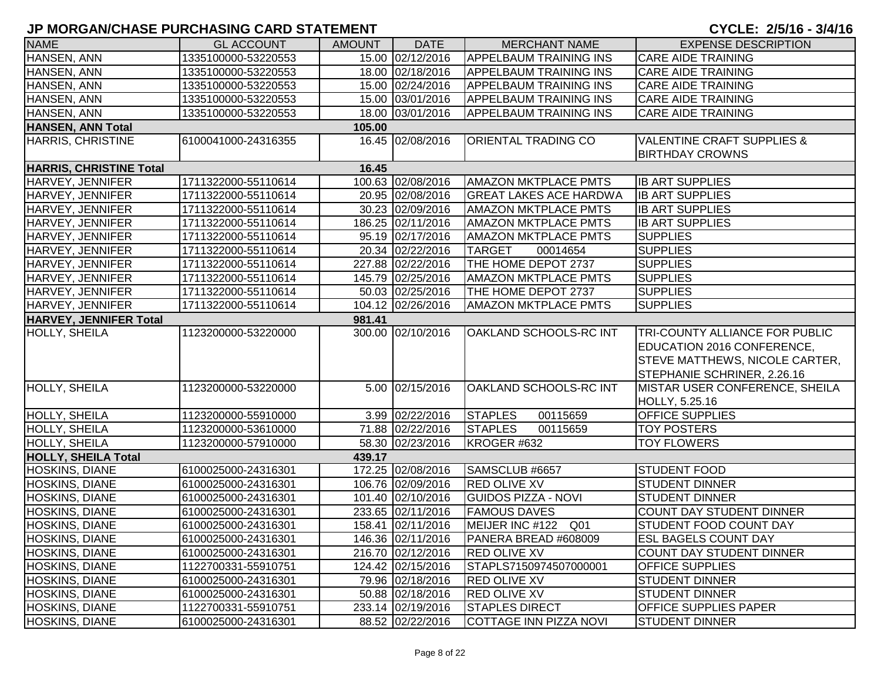| <b>NAME</b>                    | <b>GL ACCOUNT</b>   | <b>AMOUNT</b> | <b>DATE</b>       | <b>MERCHANT NAME</b>          | <b>EXPENSE DESCRIPTION</b>                                      |
|--------------------------------|---------------------|---------------|-------------------|-------------------------------|-----------------------------------------------------------------|
| HANSEN, ANN                    | 1335100000-53220553 |               | 15.00 02/12/2016  | <b>APPELBAUM TRAINING INS</b> | <b>CARE AIDE TRAINING</b>                                       |
| HANSEN, ANN                    | 1335100000-53220553 |               | 18.00 02/18/2016  | <b>APPELBAUM TRAINING INS</b> | <b>CARE AIDE TRAINING</b>                                       |
| HANSEN, ANN                    | 1335100000-53220553 |               | 15.00 02/24/2016  | <b>APPELBAUM TRAINING INS</b> | <b>CARE AIDE TRAINING</b>                                       |
| HANSEN, ANN                    | 1335100000-53220553 |               | 15.00 03/01/2016  | <b>APPELBAUM TRAINING INS</b> | <b>CARE AIDE TRAINING</b>                                       |
| HANSEN, ANN                    | 1335100000-53220553 |               | 18.00 03/01/2016  | <b>APPELBAUM TRAINING INS</b> | <b>CARE AIDE TRAINING</b>                                       |
| <b>HANSEN, ANN Total</b>       |                     | 105.00        |                   |                               |                                                                 |
| <b>HARRIS, CHRISTINE</b>       | 6100041000-24316355 |               | 16.45 02/08/2016  | <b>ORIENTAL TRADING CO</b>    | <b>VALENTINE CRAFT SUPPLIES &amp;</b><br><b>BIRTHDAY CROWNS</b> |
| <b>HARRIS, CHRISTINE Total</b> |                     | 16.45         |                   |                               |                                                                 |
| HARVEY, JENNIFER               | 1711322000-55110614 |               | 100.63 02/08/2016 | <b>AMAZON MKTPLACE PMTS</b>   | <b>IB ART SUPPLIES</b>                                          |
| HARVEY, JENNIFER               | 1711322000-55110614 |               | 20.95 02/08/2016  | <b>GREAT LAKES ACE HARDWA</b> | <b>IB ART SUPPLIES</b>                                          |
| HARVEY, JENNIFER               | 1711322000-55110614 |               | 30.23 02/09/2016  | <b>AMAZON MKTPLACE PMTS</b>   | <b>IB ART SUPPLIES</b>                                          |
| HARVEY, JENNIFER               | 1711322000-55110614 |               | 186.25 02/11/2016 | <b>AMAZON MKTPLACE PMTS</b>   | <b>IB ART SUPPLIES</b>                                          |
| HARVEY, JENNIFER               | 1711322000-55110614 |               | 95.19 02/17/2016  | <b>AMAZON MKTPLACE PMTS</b>   | <b>SUPPLIES</b>                                                 |
| HARVEY, JENNIFER               | 1711322000-55110614 |               | 20.34 02/22/2016  | <b>TARGET</b><br>00014654     | <b>SUPPLIES</b>                                                 |
| HARVEY, JENNIFER               | 1711322000-55110614 |               | 227.88 02/22/2016 | THE HOME DEPOT 2737           | <b>SUPPLIES</b>                                                 |
| HARVEY, JENNIFER               | 1711322000-55110614 |               | 145.79 02/25/2016 | <b>AMAZON MKTPLACE PMTS</b>   | <b>SUPPLIES</b>                                                 |
| HARVEY, JENNIFER               | 1711322000-55110614 |               | 50.03 02/25/2016  | THE HOME DEPOT 2737           | <b>SUPPLIES</b>                                                 |
| HARVEY, JENNIFER               | 1711322000-55110614 |               | 104.12 02/26/2016 | <b>AMAZON MKTPLACE PMTS</b>   | <b>SUPPLIES</b>                                                 |
| <b>HARVEY, JENNIFER Total</b>  |                     | 981.41        |                   |                               |                                                                 |
| HOLLY, SHEILA                  | 1123200000-53220000 |               | 300.00 02/10/2016 | OAKLAND SCHOOLS-RC INT        | <b>TRI-COUNTY ALLIANCE FOR PUBLIC</b>                           |
|                                |                     |               |                   |                               | EDUCATION 2016 CONFERENCE,                                      |
|                                |                     |               |                   |                               | STEVE MATTHEWS, NICOLE CARTER,                                  |
|                                |                     |               |                   |                               | STEPHANIE SCHRINER, 2.26.16                                     |
| HOLLY, SHEILA                  | 1123200000-53220000 |               | 5.00 02/15/2016   | OAKLAND SCHOOLS-RC INT        | MISTAR USER CONFERENCE, SHEILA                                  |
|                                |                     |               |                   |                               | HOLLY, 5.25.16                                                  |
| HOLLY, SHEILA                  | 1123200000-55910000 |               | 3.99 02/22/2016   | <b>STAPLES</b><br>00115659    | <b>OFFICE SUPPLIES</b>                                          |
| <b>HOLLY, SHEILA</b>           | 1123200000-53610000 |               | 71.88 02/22/2016  | <b>STAPLES</b><br>00115659    | <b>TOY POSTERS</b>                                              |
| HOLLY, SHEILA                  | 1123200000-57910000 |               | 58.30 02/23/2016  | KROGER #632                   | <b>TOY FLOWERS</b>                                              |
| <b>HOLLY, SHEILA Total</b>     |                     | 439.17        |                   |                               |                                                                 |
| HOSKINS, DIANE                 | 6100025000-24316301 |               | 172.25 02/08/2016 | SAMSCLUB #6657                | <b>STUDENT FOOD</b>                                             |
| <b>HOSKINS, DIANE</b>          | 6100025000-24316301 |               | 106.76 02/09/2016 | <b>RED OLIVE XV</b>           | <b>STUDENT DINNER</b>                                           |
| <b>HOSKINS, DIANE</b>          | 6100025000-24316301 |               | 101.40 02/10/2016 | <b>GUIDOS PIZZA - NOVI</b>    | <b>STUDENT DINNER</b>                                           |
| <b>HOSKINS, DIANE</b>          | 6100025000-24316301 |               | 233.65 02/11/2016 | <b>FAMOUS DAVES</b>           | <b>COUNT DAY STUDENT DINNER</b>                                 |
| <b>HOSKINS, DIANE</b>          | 6100025000-24316301 |               | 158.41 02/11/2016 | MEIJER INC #122 Q01           | <b>STUDENT FOOD COUNT DAY</b>                                   |
| <b>HOSKINS, DIANE</b>          | 6100025000-24316301 |               | 146.36 02/11/2016 | PANERA BREAD #608009          | <b>ESL BAGELS COUNT DAY</b>                                     |
| <b>HOSKINS, DIANE</b>          | 6100025000-24316301 |               | 216.70 02/12/2016 | <b>RED OLIVE XV</b>           | <b>COUNT DAY STUDENT DINNER</b>                                 |
| <b>HOSKINS, DIANE</b>          | 1122700331-55910751 |               | 124.42 02/15/2016 | STAPLS7150974507000001        | <b>OFFICE SUPPLIES</b>                                          |
| <b>HOSKINS, DIANE</b>          | 6100025000-24316301 |               | 79.96 02/18/2016  | <b>RED OLIVE XV</b>           | <b>STUDENT DINNER</b>                                           |
| <b>HOSKINS, DIANE</b>          | 6100025000-24316301 |               | 50.88 02/18/2016  | <b>RED OLIVE XV</b>           | <b>STUDENT DINNER</b>                                           |
| <b>HOSKINS, DIANE</b>          | 1122700331-55910751 |               | 233.14 02/19/2016 | <b>STAPLES DIRECT</b>         | <b>OFFICE SUPPLIES PAPER</b>                                    |
| <b>HOSKINS, DIANE</b>          | 6100025000-24316301 |               | 88.52 02/22/2016  | COTTAGE INN PIZZA NOVI        | <b>STUDENT DINNER</b>                                           |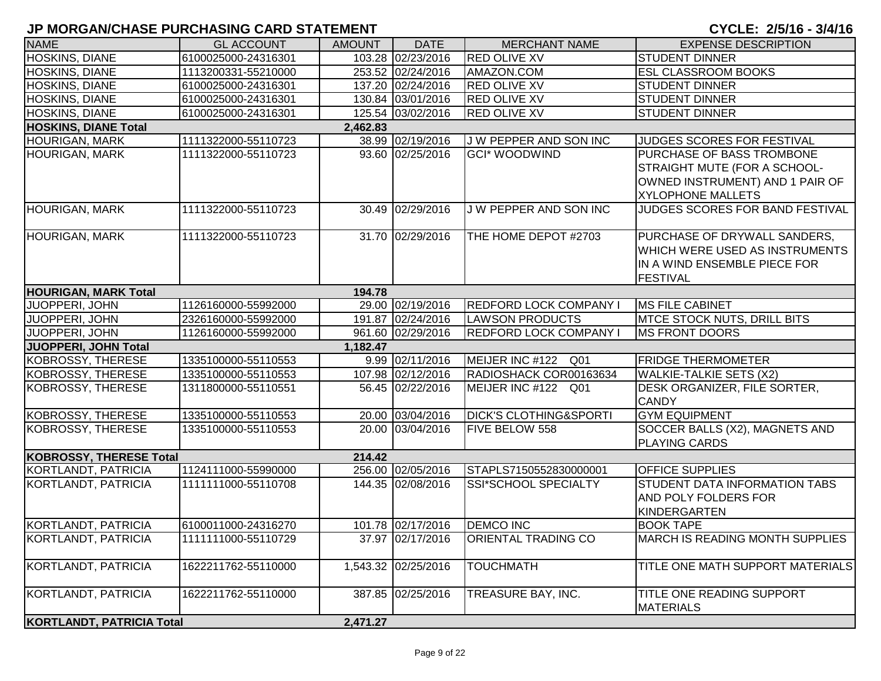| <b>NAME</b>                      | <b>GL ACCOUNT</b>   | <b>AMOUNT</b> | <b>DATE</b>         | <b>MERCHANT NAME</b>              | <b>EXPENSE DESCRIPTION</b>                                                                                               |
|----------------------------------|---------------------|---------------|---------------------|-----------------------------------|--------------------------------------------------------------------------------------------------------------------------|
| <b>HOSKINS, DIANE</b>            | 6100025000-24316301 |               | 103.28 02/23/2016   | <b>RED OLIVE XV</b>               | <b>STUDENT DINNER</b>                                                                                                    |
| <b>HOSKINS, DIANE</b>            | 1113200331-55210000 |               | 253.52 02/24/2016   | AMAZON.COM                        | <b>ESL CLASSROOM BOOKS</b>                                                                                               |
| <b>HOSKINS, DIANE</b>            | 6100025000-24316301 |               | 137.20 02/24/2016   | <b>RED OLIVE XV</b>               | <b>STUDENT DINNER</b>                                                                                                    |
| <b>HOSKINS, DIANE</b>            | 6100025000-24316301 |               | 130.84 03/01/2016   | <b>RED OLIVE XV</b>               | <b>STUDENT DINNER</b>                                                                                                    |
| <b>HOSKINS, DIANE</b>            | 6100025000-24316301 |               | 125.54 03/02/2016   | <b>RED OLIVE XV</b>               | <b>STUDENT DINNER</b>                                                                                                    |
| <b>HOSKINS, DIANE Total</b>      |                     | 2,462.83      |                     |                                   |                                                                                                                          |
| <b>HOURIGAN, MARK</b>            | 1111322000-55110723 |               | 38.99 02/19/2016    | J W PEPPER AND SON INC            | JUDGES SCORES FOR FESTIVAL                                                                                               |
| <b>HOURIGAN, MARK</b>            | 1111322000-55110723 |               | 93.60 02/25/2016    | <b>GCI*</b> WOODWIND              | PURCHASE OF BASS TROMBONE<br>STRAIGHT MUTE (FOR A SCHOOL-<br>OWNED INSTRUMENT) AND 1 PAIR OF<br><b>XYLOPHONE MALLETS</b> |
| <b>HOURIGAN, MARK</b>            | 1111322000-55110723 |               | 30.49 02/29/2016    | J W PEPPER AND SON INC            | JUDGES SCORES FOR BAND FESTIVAL                                                                                          |
| <b>HOURIGAN, MARK</b>            | 1111322000-55110723 |               | 31.70 02/29/2016    | THE HOME DEPOT #2703              | PURCHASE OF DRYWALL SANDERS,<br>WHICH WERE USED AS INSTRUMENTS<br>IN A WIND ENSEMBLE PIECE FOR<br><b>FESTIVAL</b>        |
| <b>HOURIGAN, MARK Total</b>      |                     | 194.78        |                     |                                   |                                                                                                                          |
| JUOPPERI, JOHN                   | 1126160000-55992000 |               | 29.00 02/19/2016    | <b>REDFORD LOCK COMPANY I</b>     | <b>MS FILE CABINET</b>                                                                                                   |
| JUOPPERI, JOHN                   | 2326160000-55992000 |               | 191.87 02/24/2016   | <b>LAWSON PRODUCTS</b>            | <b>MTCE STOCK NUTS, DRILL BITS</b>                                                                                       |
| JUOPPERI, JOHN                   | 1126160000-55992000 |               | 961.60 02/29/2016   | <b>REDFORD LOCK COMPANY I</b>     | MS FRONT DOORS                                                                                                           |
| JUOPPERI, JOHN Total             |                     | 1,182.47      |                     |                                   |                                                                                                                          |
| KOBROSSY, THERESE                | 1335100000-55110553 |               | 9.99 02/11/2016     | MEIJER INC #122 Q01               | <b>FRIDGE THERMOMETER</b>                                                                                                |
| KOBROSSY, THERESE                | 1335100000-55110553 |               | 107.98 02/12/2016   | RADIOSHACK COR00163634            | <b>WALKIE-TALKIE SETS (X2)</b>                                                                                           |
| KOBROSSY, THERESE                | 1311800000-55110551 |               | 56.45 02/22/2016    | MEIJER INC #122 Q01               | DESK ORGANIZER, FILE SORTER,<br><b>CANDY</b>                                                                             |
| KOBROSSY, THERESE                | 1335100000-55110553 |               | 20.00 03/04/2016    | <b>DICK'S CLOTHING&amp;SPORTI</b> | <b>GYM EQUIPMENT</b>                                                                                                     |
| KOBROSSY, THERESE                | 1335100000-55110553 |               | 20.00 03/04/2016    | <b>FIVE BELOW 558</b>             | SOCCER BALLS (X2), MAGNETS AND<br><b>PLAYING CARDS</b>                                                                   |
| <b>KOBROSSY, THERESE Total</b>   |                     | 214.42        |                     |                                   |                                                                                                                          |
| KORTLANDT, PATRICIA              | 1124111000-55990000 |               | 256.00 02/05/2016   | STAPLS7150552830000001            | <b>OFFICE SUPPLIES</b>                                                                                                   |
| KORTLANDT, PATRICIA              | 1111111000-55110708 |               | 144.35 02/08/2016   | <b>SSI*SCHOOL SPECIALTY</b>       | STUDENT DATA INFORMATION TABS<br><b>AND POLY FOLDERS FOR</b><br><b>KINDERGARTEN</b>                                      |
| KORTLANDT, PATRICIA              | 6100011000-24316270 |               | 101.78 02/17/2016   | <b>DEMCO INC</b>                  | <b>BOOK TAPE</b>                                                                                                         |
| <b>KORTLANDT, PATRICIA</b>       | 1111111000-55110729 |               | 37.97 02/17/2016    | <b>ORIENTAL TRADING CO</b>        | <b>MARCH IS READING MONTH SUPPLIES</b>                                                                                   |
| <b>KORTLANDT, PATRICIA</b>       | 1622211762-55110000 |               | 1,543.32 02/25/2016 | <b>TOUCHMATH</b>                  | TITLE ONE MATH SUPPORT MATERIALS                                                                                         |
| KORTLANDT, PATRICIA              | 1622211762-55110000 |               | 387.85 02/25/2016   | TREASURE BAY, INC.                | TITLE ONE READING SUPPORT<br><b>MATERIALS</b>                                                                            |
| <b>KORTLANDT, PATRICIA Total</b> |                     | 2,471.27      |                     |                                   |                                                                                                                          |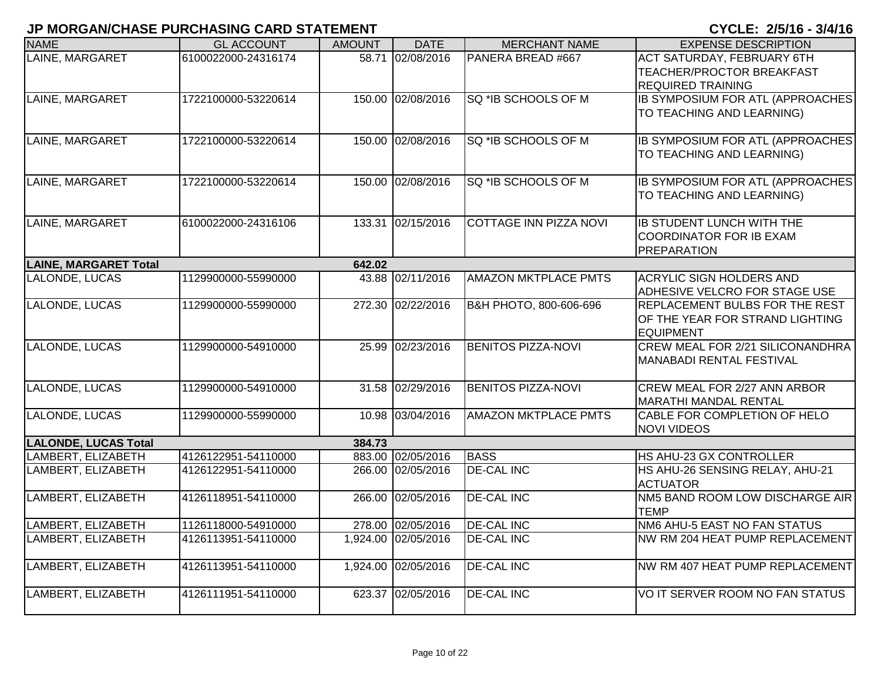| <b>NAME</b>                  | <b>GL ACCOUNT</b>   | <b>AMOUNT</b> | <b>DATE</b>         | <b>MERCHANT NAME</b>          | <b>EXPENSE DESCRIPTION</b>                                                                 |
|------------------------------|---------------------|---------------|---------------------|-------------------------------|--------------------------------------------------------------------------------------------|
| LAINE, MARGARET              | 6100022000-24316174 |               | 58.71 02/08/2016    | PANERA BREAD #667             | <b>ACT SATURDAY, FEBRUARY 6TH</b><br>TEACHER/PROCTOR BREAKFAST<br><b>REQUIRED TRAINING</b> |
| LAINE, MARGARET              | 1722100000-53220614 | 150.00        | 02/08/2016          | SQ *IB SCHOOLS OF M           | IB SYMPOSIUM FOR ATL (APPROACHES<br>TO TEACHING AND LEARNING)                              |
| LAINE, MARGARET              | 1722100000-53220614 |               | 150.00 02/08/2016   | SQ *IB SCHOOLS OF M           | <b>IB SYMPOSIUM FOR ATL (APPROACHES</b><br>TO TEACHING AND LEARNING)                       |
| LAINE, MARGARET              | 1722100000-53220614 |               | 150.00 02/08/2016   | SQ *IB SCHOOLS OF M           | <b>IB SYMPOSIUM FOR ATL (APPROACHES)</b><br>TO TEACHING AND LEARNING)                      |
| LAINE, MARGARET              | 6100022000-24316106 | 133.31        | 02/15/2016          | <b>COTTAGE INN PIZZA NOVI</b> | <b>IB STUDENT LUNCH WITH THE</b><br><b>COORDINATOR FOR IB EXAM</b><br><b>PREPARATION</b>   |
| <b>LAINE, MARGARET Total</b> |                     | 642.02        |                     |                               |                                                                                            |
| LALONDE, LUCAS               | 1129900000-55990000 | 43.88         | 02/11/2016          | <b>AMAZON MKTPLACE PMTS</b>   | <b>ACRYLIC SIGN HOLDERS AND</b><br>ADHESIVE VELCRO FOR STAGE USE                           |
| LALONDE, LUCAS               | 1129900000-55990000 | 272.30        | 02/22/2016          | В&Н РНОТО, 800-606-696        | REPLACEMENT BULBS FOR THE REST<br>OF THE YEAR FOR STRAND LIGHTING<br><b>EQUIPMENT</b>      |
| LALONDE, LUCAS               | 1129900000-54910000 | 25.99         | 02/23/2016          | <b>BENITOS PIZZA-NOVI</b>     | <b>CREW MEAL FOR 2/21 SILICONANDHRA</b><br>MANABADI RENTAL FESTIVAL                        |
| LALONDE, LUCAS               | 1129900000-54910000 | 31.58         | 02/29/2016          | <b>BENITOS PIZZA-NOVI</b>     | CREW MEAL FOR 2/27 ANN ARBOR<br>MARATHI MANDAL RENTAL                                      |
| LALONDE, LUCAS               | 1129900000-55990000 | 10.98         | 03/04/2016          | <b>AMAZON MKTPLACE PMTS</b>   | CABLE FOR COMPLETION OF HELO<br><b>NOVI VIDEOS</b>                                         |
| <b>LALONDE, LUCAS Total</b>  |                     | 384.73        |                     |                               |                                                                                            |
| LAMBERT, ELIZABETH           | 4126122951-54110000 | 883.00        | 02/05/2016          | <b>BASS</b>                   | HS AHU-23 GX CONTROLLER                                                                    |
| LAMBERT, ELIZABETH           | 4126122951-54110000 | 266.00        | 02/05/2016          | <b>DE-CAL INC</b>             | HS AHU-26 SENSING RELAY, AHU-21<br><b>ACTUATOR</b>                                         |
| LAMBERT, ELIZABETH           | 4126118951-54110000 | 266.00        | 02/05/2016          | <b>DE-CAL INC</b>             | NM5 BAND ROOM LOW DISCHARGE AIR<br><b>TEMP</b>                                             |
| LAMBERT, ELIZABETH           | 1126118000-54910000 |               | 278.00 02/05/2016   | <b>DE-CAL INC</b>             | NM6 AHU-5 EAST NO FAN STATUS                                                               |
| LAMBERT, ELIZABETH           | 4126113951-54110000 |               | 1,924.00 02/05/2016 | <b>DE-CAL INC</b>             | NW RM 204 HEAT PUMP REPLACEMENT                                                            |
| LAMBERT, ELIZABETH           | 4126113951-54110000 |               | 1,924.00 02/05/2016 | <b>DE-CAL INC</b>             | NW RM 407 HEAT PUMP REPLACEMENT                                                            |
| LAMBERT, ELIZABETH           | 4126111951-54110000 | 623.37        | 02/05/2016          | <b>DE-CAL INC</b>             | VO IT SERVER ROOM NO FAN STATUS                                                            |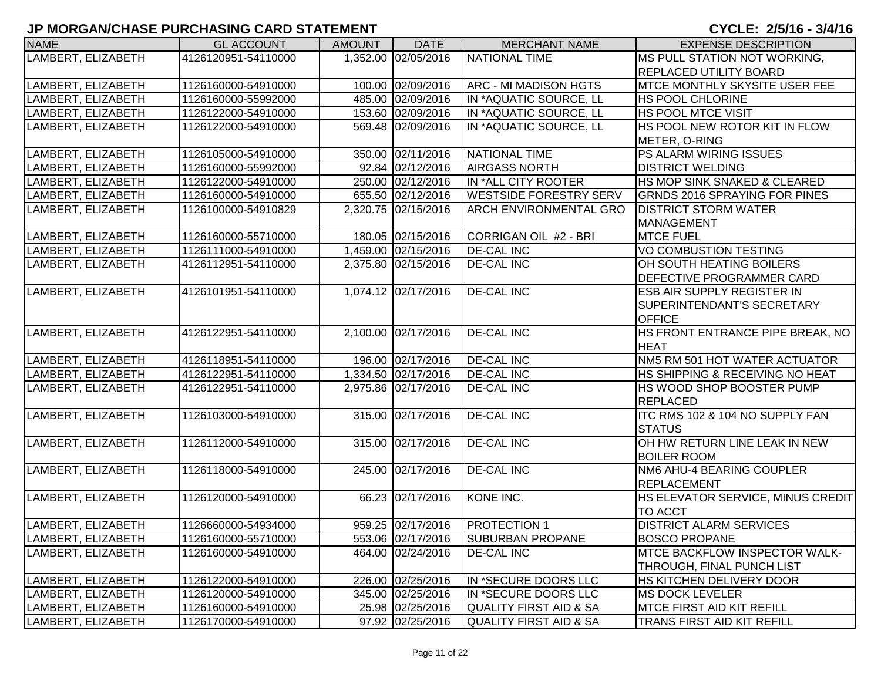| <b>NAME</b>        | <b>GL ACCOUNT</b>   | <b>AMOUNT</b> | <b>DATE</b>         | <b>MERCHANT NAME</b>          | <b>EXPENSE DESCRIPTION</b>           |
|--------------------|---------------------|---------------|---------------------|-------------------------------|--------------------------------------|
| LAMBERT, ELIZABETH | 4126120951-54110000 |               | 1,352.00 02/05/2016 | NATIONAL TIME                 | MS PULL STATION NOT WORKING,         |
|                    |                     |               |                     |                               | <b>REPLACED UTILITY BOARD</b>        |
| LAMBERT, ELIZABETH | 1126160000-54910000 |               | 100.00 02/09/2016   | <b>ARC - MI MADISON HGTS</b>  | <b>MTCE MONTHLY SKYSITE USER FEE</b> |
| LAMBERT, ELIZABETH | 1126160000-55992000 |               | 485.00 02/09/2016   | IN *AQUATIC SOURCE, LL        | <b>HS POOL CHLORINE</b>              |
| LAMBERT, ELIZABETH | 1126122000-54910000 |               | 153.60 02/09/2016   | IN *AQUATIC SOURCE, LL        | <b>HS POOL MTCE VISIT</b>            |
| LAMBERT, ELIZABETH | 1126122000-54910000 |               | 569.48 02/09/2016   | IN *AQUATIC SOURCE, LL        | HS POOL NEW ROTOR KIT IN FLOW        |
|                    |                     |               |                     |                               | METER, O-RING                        |
| LAMBERT, ELIZABETH | 1126105000-54910000 |               | 350.00 02/11/2016   | <b>NATIONAL TIME</b>          | PS ALARM WIRING ISSUES               |
| LAMBERT, ELIZABETH | 1126160000-55992000 |               | 92.84 02/12/2016    | <b>AIRGASS NORTH</b>          | <b>DISTRICT WELDING</b>              |
| LAMBERT, ELIZABETH | 1126122000-54910000 |               | 250.00 02/12/2016   | IN *ALL CITY ROOTER           | HS MOP SINK SNAKED & CLEARED         |
| LAMBERT, ELIZABETH | 1126160000-54910000 |               | 655.50 02/12/2016   | <b>WESTSIDE FORESTRY SERV</b> | <b>GRNDS 2016 SPRAYING FOR PINES</b> |
| LAMBERT, ELIZABETH | 1126100000-54910829 |               | 2,320.75 02/15/2016 | <b>ARCH ENVIRONMENTAL GRO</b> | <b>DISTRICT STORM WATER</b>          |
|                    |                     |               |                     |                               | <b>MANAGEMENT</b>                    |
| LAMBERT, ELIZABETH | 1126160000-55710000 |               | 180.05 02/15/2016   | CORRIGAN OIL #2 - BRI         | <b>MTCE FUEL</b>                     |
| LAMBERT, ELIZABETH | 1126111000-54910000 |               | 1,459.00 02/15/2016 | <b>DE-CAL INC</b>             | VO COMBUSTION TESTING                |
| LAMBERT, ELIZABETH | 4126112951-54110000 |               | 2,375.80 02/15/2016 | <b>DE-CAL INC</b>             | OH SOUTH HEATING BOILERS             |
|                    |                     |               |                     |                               | DEFECTIVE PROGRAMMER CARD            |
| LAMBERT, ELIZABETH | 4126101951-54110000 |               | 1,074.12 02/17/2016 | <b>DE-CAL INC</b>             | ESB AIR SUPPLY REGISTER IN           |
|                    |                     |               |                     |                               | SUPERINTENDANT'S SECRETARY           |
|                    |                     |               |                     |                               | <b>OFFICE</b>                        |
| LAMBERT, ELIZABETH | 4126122951-54110000 | 2,100.00      | 02/17/2016          | <b>DE-CAL INC</b>             | HS FRONT ENTRANCE PIPE BREAK, NO     |
|                    |                     |               |                     |                               | <b>HEAT</b>                          |
| LAMBERT, ELIZABETH | 4126118951-54110000 |               | 196.00 02/17/2016   | <b>DE-CAL INC</b>             | NM5 RM 501 HOT WATER ACTUATOR        |
| LAMBERT, ELIZABETH | 4126122951-54110000 |               | 1,334.50 02/17/2016 | <b>DE-CAL INC</b>             | HS SHIPPING & RECEIVING NO HEAT      |
| LAMBERT, ELIZABETH | 4126122951-54110000 |               | 2,975.86 02/17/2016 | <b>DE-CAL INC</b>             | HS WOOD SHOP BOOSTER PUMP            |
|                    |                     |               |                     |                               | <b>REPLACED</b>                      |
| LAMBERT, ELIZABETH | 1126103000-54910000 | 315.00        | 02/17/2016          | <b>DE-CAL INC</b>             | ITC RMS 102 & 104 NO SUPPLY FAN      |
|                    |                     |               |                     |                               | <b>STATUS</b>                        |
| LAMBERT, ELIZABETH | 1126112000-54910000 |               | 315.00 02/17/2016   | <b>DE-CAL INC</b>             | OH HW RETURN LINE LEAK IN NEW        |
|                    |                     |               |                     |                               | <b>BOILER ROOM</b>                   |
| LAMBERT, ELIZABETH | 1126118000-54910000 |               | 245.00 02/17/2016   | <b>DE-CAL INC</b>             | NM6 AHU-4 BEARING COUPLER            |
|                    |                     |               |                     |                               | <b>REPLACEMENT</b>                   |
| LAMBERT, ELIZABETH | 1126120000-54910000 |               | 66.23 02/17/2016    | KONE INC.                     | HS ELEVATOR SERVICE, MINUS CREDIT    |
|                    |                     |               |                     |                               | TO ACCT                              |
| LAMBERT, ELIZABETH | 1126660000-54934000 |               | 959.25 02/17/2016   | <b>PROTECTION 1</b>           | <b>DISTRICT ALARM SERVICES</b>       |
| LAMBERT, ELIZABETH | 1126160000-55710000 |               | 553.06 02/17/2016   | <b>ISUBURBAN PROPANE</b>      | <b>BOSCO PROPANE</b>                 |
| LAMBERT, ELIZABETH | 1126160000-54910000 |               | 464.00 02/24/2016   | <b>DE-CAL INC</b>             | <b>MTCE BACKFLOW INSPECTOR WALK-</b> |
|                    |                     |               |                     |                               | THROUGH, FINAL PUNCH LIST            |
| LAMBERT, ELIZABETH | 1126122000-54910000 |               | 226.00 02/25/2016   | IN *SECURE DOORS LLC          | HS KITCHEN DELIVERY DOOR             |
| LAMBERT, ELIZABETH | 1126120000-54910000 |               | 345.00 02/25/2016   | IN *SECURE DOORS LLC          | <b>MS DOCK LEVELER</b>               |
| LAMBERT, ELIZABETH | 1126160000-54910000 |               | 25.98 02/25/2016    | QUALITY FIRST AID & SA        | <b>MTCE FIRST AID KIT REFILL</b>     |
| LAMBERT, ELIZABETH | 1126170000-54910000 |               | 97.92 02/25/2016    | QUALITY FIRST AID & SA        | TRANS FIRST AID KIT REFILL           |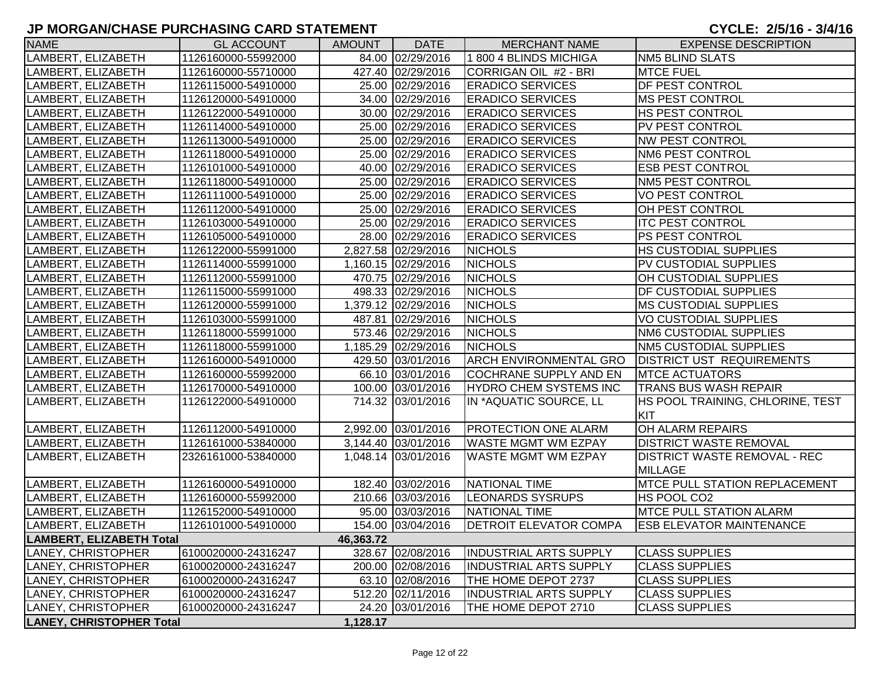| <b>NAME</b>                     | <b>GL ACCOUNT</b>   | <b>AMOUNT</b> | <b>DATE</b>         | <b>MERCHANT NAME</b>          | <b>EXPENSE DESCRIPTION</b>                            |
|---------------------------------|---------------------|---------------|---------------------|-------------------------------|-------------------------------------------------------|
| LAMBERT, ELIZABETH              | 1126160000-55992000 |               | 84.00 02/29/2016    | 1800 4 BLINDS MICHIGA         | <b>NM5 BLIND SLATS</b>                                |
| LAMBERT, ELIZABETH              | 1126160000-55710000 |               | 427.40 02/29/2016   | CORRIGAN OIL #2 - BRI         | <b>MTCE FUEL</b>                                      |
| LAMBERT, ELIZABETH              | 1126115000-54910000 |               | 25.00 02/29/2016    | <b>ERADICO SERVICES</b>       | <b>DF PEST CONTROL</b>                                |
| LAMBERT, ELIZABETH              | 1126120000-54910000 |               | 34.00 02/29/2016    | <b>ERADICO SERVICES</b>       | <b>MS PEST CONTROL</b>                                |
| LAMBERT, ELIZABETH              | 1126122000-54910000 |               | 30.00 02/29/2016    | <b>ERADICO SERVICES</b>       | <b>HS PEST CONTROL</b>                                |
| LAMBERT, ELIZABETH              | 1126114000-54910000 |               | 25.00 02/29/2016    | <b>ERADICO SERVICES</b>       | <b>PV PEST CONTROL</b>                                |
| LAMBERT, ELIZABETH              | 1126113000-54910000 |               | 25.00 02/29/2016    | <b>ERADICO SERVICES</b>       | <b>NW PEST CONTROL</b>                                |
| LAMBERT, ELIZABETH              | 1126118000-54910000 |               | 25.00 02/29/2016    | <b>ERADICO SERVICES</b>       | NM6 PEST CONTROL                                      |
| LAMBERT, ELIZABETH              | 1126101000-54910000 |               | 40.00 02/29/2016    | <b>ERADICO SERVICES</b>       | <b>ESB PEST CONTROL</b>                               |
| LAMBERT, ELIZABETH              | 1126118000-54910000 |               | 25.00 02/29/2016    | <b>ERADICO SERVICES</b>       | <b>NM5 PEST CONTROL</b>                               |
| LAMBERT, ELIZABETH              | 1126111000-54910000 |               | 25.00 02/29/2016    | <b>ERADICO SERVICES</b>       | <b>VO PEST CONTROL</b>                                |
| LAMBERT, ELIZABETH              | 1126112000-54910000 |               | 25.00 02/29/2016    | <b>ERADICO SERVICES</b>       | OH PEST CONTROL                                       |
| LAMBERT, ELIZABETH              | 1126103000-54910000 |               | 25.00 02/29/2016    | <b>ERADICO SERVICES</b>       | <b>ITC PEST CONTROL</b>                               |
| LAMBERT, ELIZABETH              | 1126105000-54910000 |               | 28.00 02/29/2016    | <b>ERADICO SERVICES</b>       | <b>PS PEST CONTROL</b>                                |
| LAMBERT, ELIZABETH              | 1126122000-55991000 |               | 2,827.58 02/29/2016 | <b>NICHOLS</b>                | <b>HS CUSTODIAL SUPPLIES</b>                          |
| LAMBERT, ELIZABETH              | 1126114000-55991000 |               | 1,160.15 02/29/2016 | <b>NICHOLS</b>                | PV CUSTODIAL SUPPLIES                                 |
| LAMBERT, ELIZABETH              | 1126112000-55991000 |               | 470.75 02/29/2016   | <b>NICHOLS</b>                | OH CUSTODIAL SUPPLIES                                 |
| LAMBERT, ELIZABETH              | 1126115000-55991000 |               | 498.33 02/29/2016   | <b>NICHOLS</b>                | <b>DF CUSTODIAL SUPPLIES</b>                          |
| LAMBERT, ELIZABETH              | 1126120000-55991000 |               | 1,379.12 02/29/2016 | <b>NICHOLS</b>                | <b>MS CUSTODIAL SUPPLIES</b>                          |
| LAMBERT, ELIZABETH              | 1126103000-55991000 |               | 487.81 02/29/2016   | <b>NICHOLS</b>                | VO CUSTODIAL SUPPLIES                                 |
| LAMBERT, ELIZABETH              | 1126118000-55991000 |               | 573.46 02/29/2016   | <b>NICHOLS</b>                | <b>NM6 CUSTODIAL SUPPLIES</b>                         |
| LAMBERT, ELIZABETH              | 1126118000-55991000 |               | 1,185.29 02/29/2016 | <b>NICHOLS</b>                | NM5 CUSTODIAL SUPPLIES                                |
| LAMBERT, ELIZABETH              | 1126160000-54910000 |               | 429.50 03/01/2016   | <b>ARCH ENVIRONMENTAL GRO</b> | <b>DISTRICT UST REQUIREMENTS</b>                      |
| LAMBERT, ELIZABETH              | 1126160000-55992000 |               | 66.10 03/01/2016    | COCHRANE SUPPLY AND EN        | <b>MTCE ACTUATORS</b>                                 |
| LAMBERT, ELIZABETH              | 1126170000-54910000 |               | 100.00 03/01/2016   | HYDRO CHEM SYSTEMS INC        | <b>TRANS BUS WASH REPAIR</b>                          |
| LAMBERT, ELIZABETH              | 1126122000-54910000 |               | 714.32 03/01/2016   | IN *AQUATIC SOURCE, LL        | HS POOL TRAINING, CHLORINE, TEST<br>KIT               |
| LAMBERT, ELIZABETH              | 1126112000-54910000 |               | 2,992.00 03/01/2016 | <b>PROTECTION ONE ALARM</b>   | OH ALARM REPAIRS                                      |
| LAMBERT, ELIZABETH              | 1126161000-53840000 |               | 3,144.40 03/01/2016 | <b>WASTE MGMT WM EZPAY</b>    | <b>DISTRICT WASTE REMOVAL</b>                         |
| LAMBERT, ELIZABETH              | 2326161000-53840000 |               | 1,048.14 03/01/2016 | <b>WASTE MGMT WM EZPAY</b>    | <b>DISTRICT WASTE REMOVAL - REC</b><br><b>MILLAGE</b> |
| LAMBERT, ELIZABETH              | 1126160000-54910000 |               | 182.40 03/02/2016   | NATIONAL TIME                 | <b>MTCE PULL STATION REPLACEMENT</b>                  |
| LAMBERT, ELIZABETH              | 1126160000-55992000 |               | 210.66 03/03/2016   | <b>LEONARDS SYSRUPS</b>       | HS POOL CO2                                           |
| LAMBERT, ELIZABETH              | 1126152000-54910000 |               | 95.00 03/03/2016    | <b>NATIONAL TIME</b>          | <b>IMTCE PULL STATION ALARM</b>                       |
| LAMBERT, ELIZABETH              | 1126101000-54910000 |               | 154.00 03/04/2016   | <b>DETROIT ELEVATOR COMPA</b> | <b>ESB ELEVATOR MAINTENANCE</b>                       |
| LAMBERT, ELIZABETH Total        |                     | 46,363.72     |                     |                               |                                                       |
| LANEY, CHRISTOPHER              | 6100020000-24316247 |               | 328.67 02/08/2016   | <b>INDUSTRIAL ARTS SUPPLY</b> | <b>CLASS SUPPLIES</b>                                 |
| LANEY, CHRISTOPHER              | 6100020000-24316247 |               | 200.00 02/08/2016   | <b>INDUSTRIAL ARTS SUPPLY</b> | <b>CLASS SUPPLIES</b>                                 |
| LANEY, CHRISTOPHER              | 6100020000-24316247 |               | 63.10 02/08/2016    | THE HOME DEPOT 2737           | <b>CLASS SUPPLIES</b>                                 |
| LANEY, CHRISTOPHER              | 6100020000-24316247 |               | 512.20 02/11/2016   | <b>INDUSTRIAL ARTS SUPPLY</b> | <b>CLASS SUPPLIES</b>                                 |
| LANEY, CHRISTOPHER              | 6100020000-24316247 |               | 24.20 03/01/2016    | THE HOME DEPOT 2710           | <b>CLASS SUPPLIES</b>                                 |
| <b>LANEY, CHRISTOPHER Total</b> |                     | 1,128.17      |                     |                               |                                                       |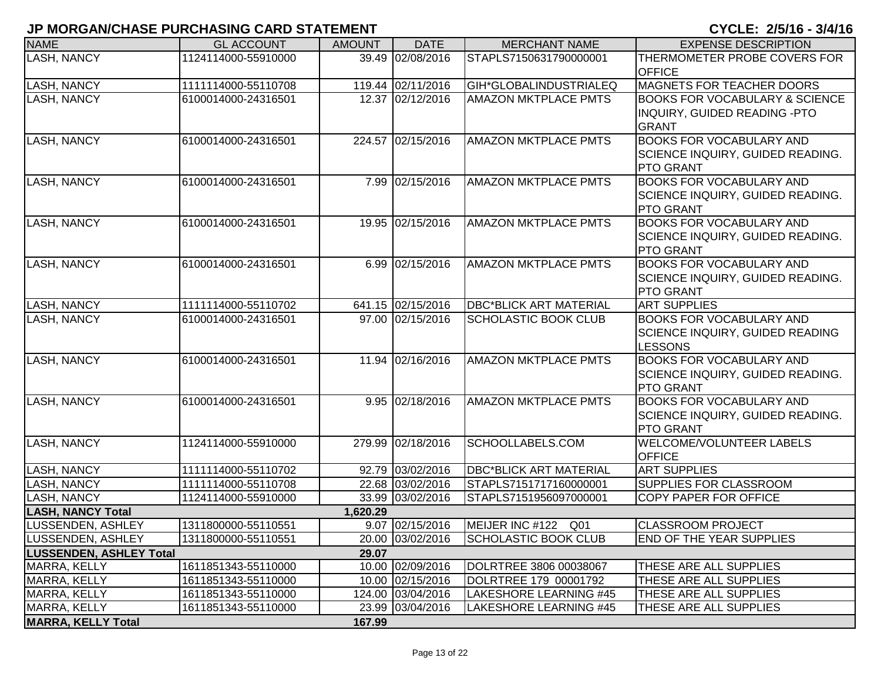| <b>NAME</b>                    | <b>GL ACCOUNT</b>   | <b>AMOUNT</b> | <b>DATE</b>       | <b>MERCHANT NAME</b>          | <b>EXPENSE DESCRIPTION</b>                           |
|--------------------------------|---------------------|---------------|-------------------|-------------------------------|------------------------------------------------------|
| <b>LASH, NANCY</b>             | 1124114000-55910000 |               | 39.49 02/08/2016  | STAPLS7150631790000001        | THERMOMETER PROBE COVERS FOR                         |
|                                |                     |               |                   |                               | <b>OFFICE</b>                                        |
| <b>LASH, NANCY</b>             | 1111114000-55110708 |               | 119.44 02/11/2016 | GIH*GLOBALINDUSTRIALEQ        | <b>MAGNETS FOR TEACHER DOORS</b>                     |
| <b>LASH, NANCY</b>             | 6100014000-24316501 |               | 12.37 02/12/2016  | <b>AMAZON MKTPLACE PMTS</b>   | <b>BOOKS FOR VOCABULARY &amp; SCIENCE</b>            |
|                                |                     |               |                   |                               | <b>INQUIRY, GUIDED READING -PTO</b>                  |
|                                |                     |               |                   |                               | <b>GRANT</b>                                         |
| LASH, NANCY                    | 6100014000-24316501 |               | 224.57 02/15/2016 | <b>AMAZON MKTPLACE PMTS</b>   | <b>BOOKS FOR VOCABULARY AND</b>                      |
|                                |                     |               |                   |                               | SCIENCE INQUIRY, GUIDED READING.<br><b>PTO GRANT</b> |
| <b>LASH, NANCY</b>             | 6100014000-24316501 |               | 7.99 02/15/2016   | <b>AMAZON MKTPLACE PMTS</b>   | <b>BOOKS FOR VOCABULARY AND</b>                      |
|                                |                     |               |                   |                               | SCIENCE INQUIRY, GUIDED READING.                     |
|                                |                     |               |                   |                               | <b>PTO GRANT</b>                                     |
| LASH, NANCY                    | 6100014000-24316501 |               | 19.95 02/15/2016  | <b>AMAZON MKTPLACE PMTS</b>   | <b>BOOKS FOR VOCABULARY AND</b>                      |
|                                |                     |               |                   |                               | SCIENCE INQUIRY, GUIDED READING.                     |
|                                |                     |               |                   |                               | <b>PTO GRANT</b>                                     |
| LASH, NANCY                    | 6100014000-24316501 |               | 6.99 02/15/2016   | <b>AMAZON MKTPLACE PMTS</b>   | <b>BOOKS FOR VOCABULARY AND</b>                      |
|                                |                     |               |                   |                               | SCIENCE INQUIRY, GUIDED READING.                     |
|                                |                     |               |                   |                               | <b>PTO GRANT</b>                                     |
| <b>LASH, NANCY</b>             | 1111114000-55110702 |               | 641.15 02/15/2016 | <b>DBC*BLICK ART MATERIAL</b> | <b>ART SUPPLIES</b>                                  |
| <b>LASH, NANCY</b>             | 6100014000-24316501 |               | 97.00 02/15/2016  | <b>SCHOLASTIC BOOK CLUB</b>   | <b>BOOKS FOR VOCABULARY AND</b>                      |
|                                |                     |               |                   |                               | <b>SCIENCE INQUIRY, GUIDED READING</b>               |
|                                |                     |               |                   |                               | <b>LESSONS</b>                                       |
| <b>LASH, NANCY</b>             | 6100014000-24316501 |               | 11.94 02/16/2016  | <b>AMAZON MKTPLACE PMTS</b>   | <b>BOOKS FOR VOCABULARY AND</b>                      |
|                                |                     |               |                   |                               | SCIENCE INQUIRY, GUIDED READING.                     |
|                                |                     |               |                   |                               | <b>PTO GRANT</b>                                     |
| <b>LASH, NANCY</b>             | 6100014000-24316501 |               | 9.95 02/18/2016   | <b>AMAZON MKTPLACE PMTS</b>   | <b>BOOKS FOR VOCABULARY AND</b>                      |
|                                |                     |               |                   |                               | SCIENCE INQUIRY, GUIDED READING.                     |
|                                |                     |               |                   |                               | <b>PTO GRANT</b>                                     |
| <b>LASH, NANCY</b>             | 1124114000-55910000 |               | 279.99 02/18/2016 | SCHOOLLABELS.COM              | <b>WELCOME/VOLUNTEER LABELS</b>                      |
| LASH, NANCY                    | 1111114000-55110702 |               | 92.79 03/02/2016  | <b>DBC*BLICK ART MATERIAL</b> | <b>OFFICE</b><br><b>ART SUPPLIES</b>                 |
| <b>LASH, NANCY</b>             | 1111114000-55110708 |               | 22.68 03/02/2016  | STAPLS7151717160000001        | <b>SUPPLIES FOR CLASSROOM</b>                        |
| LASH, NANCY                    | 1124114000-55910000 |               | 33.99 03/02/2016  | STAPLS7151956097000001        | <b>COPY PAPER FOR OFFICE</b>                         |
| <b>LASH, NANCY Total</b>       |                     | 1,620.29      |                   |                               |                                                      |
| LUSSENDEN, ASHLEY              | 1311800000-55110551 |               | 9.07 02/15/2016   | MEIJER INC #122 Q01           | <b>CLASSROOM PROJECT</b>                             |
| LUSSENDEN, ASHLEY              | 1311800000-55110551 |               | 20.00 03/02/2016  | <b>SCHOLASTIC BOOK CLUB</b>   | <b>END OF THE YEAR SUPPLIES</b>                      |
| <b>LUSSENDEN, ASHLEY Total</b> |                     | 29.07         |                   |                               |                                                      |
| MARRA, KELLY                   | 1611851343-55110000 |               | 10.00 02/09/2016  | DOLRTREE 3806 00038067        | <b>THESE ARE ALL SUPPLIES</b>                        |
| MARRA, KELLY                   | 1611851343-55110000 |               | 10.00 02/15/2016  | DOLRTREE 179 00001792         | THESE ARE ALL SUPPLIES                               |
| MARRA, KELLY                   | 1611851343-55110000 |               | 124.00 03/04/2016 | LAKESHORE LEARNING #45        | THESE ARE ALL SUPPLIES                               |
| MARRA, KELLY                   | 1611851343-55110000 |               | 23.99 03/04/2016  | <b>LAKESHORE LEARNING #45</b> | THESE ARE ALL SUPPLIES                               |
| <b>MARRA, KELLY Total</b>      |                     | 167.99        |                   |                               |                                                      |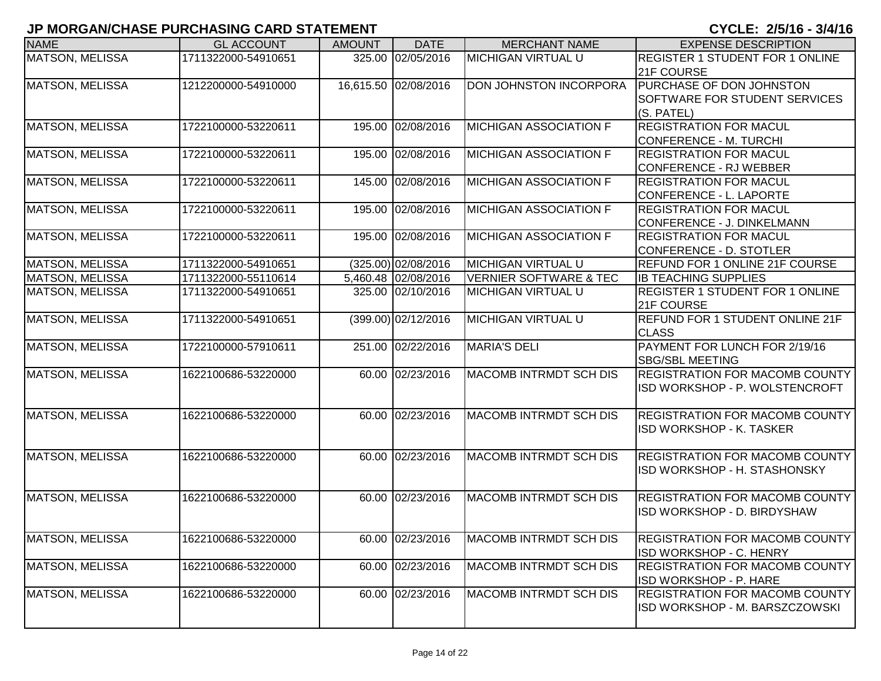| <b>NAME</b>            | <b>GL ACCOUNT</b>   | <b>AMOUNT</b> | <b>DATE</b>           | <b>MERCHANT NAME</b>              | <b>EXPENSE DESCRIPTION</b>                                              |
|------------------------|---------------------|---------------|-----------------------|-----------------------------------|-------------------------------------------------------------------------|
| MATSON, MELISSA        | 1711322000-54910651 | 325.00        | 02/05/2016            | <b>MICHIGAN VIRTUAL U</b>         | <b>REGISTER 1 STUDENT FOR 1 ONLINE</b><br>21F COURSE                    |
| MATSON, MELISSA        | 1212200000-54910000 |               | 16,615.50 02/08/2016  | DON JOHNSTON INCORPORA            | PURCHASE OF DON JOHNSTON<br>SOFTWARE FOR STUDENT SERVICES<br>(S. PATEL) |
| <b>MATSON, MELISSA</b> | 1722100000-53220611 |               | 195.00 02/08/2016     | <b>MICHIGAN ASSOCIATION F</b>     | <b>REGISTRATION FOR MACUL</b><br><b>CONFERENCE - M. TURCHI</b>          |
| <b>MATSON, MELISSA</b> | 1722100000-53220611 |               | 195.00 02/08/2016     | <b>MICHIGAN ASSOCIATION F</b>     | <b>REGISTRATION FOR MACUL</b><br><b>CONFERENCE - RJ WEBBER</b>          |
| <b>MATSON, MELISSA</b> | 1722100000-53220611 |               | 145.00 02/08/2016     | <b>MICHIGAN ASSOCIATION F</b>     | <b>REGISTRATION FOR MACUL</b><br>CONFERENCE - L. LAPORTE                |
| MATSON, MELISSA        | 1722100000-53220611 |               | 195.00 02/08/2016     | <b>MICHIGAN ASSOCIATION F</b>     | <b>REGISTRATION FOR MACUL</b><br>CONFERENCE - J. DINKELMANN             |
| MATSON, MELISSA        | 1722100000-53220611 |               | 195.00 02/08/2016     | <b>MICHIGAN ASSOCIATION F</b>     | <b>REGISTRATION FOR MACUL</b><br>CONFERENCE - D. STOTLER                |
| <b>MATSON, MELISSA</b> | 1711322000-54910651 |               | $(325.00)$ 02/08/2016 | <b>MICHIGAN VIRTUAL U</b>         | <b>REFUND FOR 1 ONLINE 21F COURSE</b>                                   |
| <b>MATSON, MELISSA</b> | 1711322000-55110614 |               | 5,460.48 02/08/2016   | <b>VERNIER SOFTWARE &amp; TEC</b> | <b>IB TEACHING SUPPLIES</b>                                             |
| <b>MATSON, MELISSA</b> | 1711322000-54910651 |               | 325.00 02/10/2016     | <b>MICHIGAN VIRTUAL U</b>         | <b>REGISTER 1 STUDENT FOR 1 ONLINE</b><br>21F COURSE                    |
| <b>MATSON, MELISSA</b> | 1711322000-54910651 |               | (399.00) 02/12/2016   | <b>MICHIGAN VIRTUAL U</b>         | REFUND FOR 1 STUDENT ONLINE 21F<br><b>CLASS</b>                         |
| <b>MATSON, MELISSA</b> | 1722100000-57910611 |               | 251.00 02/22/2016     | <b>MARIA'S DELI</b>               | PAYMENT FOR LUNCH FOR 2/19/16<br><b>SBG/SBL MEETING</b>                 |
| MATSON, MELISSA        | 1622100686-53220000 |               | 60.00 02/23/2016      | <b>MACOMB INTRMDT SCH DIS</b>     | <b>REGISTRATION FOR MACOMB COUNTY</b><br>ISD WORKSHOP - P. WOLSTENCROFT |
| <b>MATSON, MELISSA</b> | 1622100686-53220000 |               | 60.00 02/23/2016      | <b>MACOMB INTRMDT SCH DIS</b>     | <b>REGISTRATION FOR MACOMB COUNTY</b><br>ISD WORKSHOP - K. TASKER       |
| <b>MATSON, MELISSA</b> | 1622100686-53220000 |               | 60.00 02/23/2016      | <b>MACOMB INTRMDT SCH DIS</b>     | <b>REGISTRATION FOR MACOMB COUNTY</b><br>ISD WORKSHOP - H. STASHONSKY   |
| <b>MATSON, MELISSA</b> | 1622100686-53220000 |               | 60.00 02/23/2016      | <b>MACOMB INTRMDT SCH DIS</b>     | <b>REGISTRATION FOR MACOMB COUNTY</b><br>ISD WORKSHOP - D. BIRDYSHAW    |
| MATSON, MELISSA        | 1622100686-53220000 |               | 60.00 02/23/2016      | <b>MACOMB INTRMDT SCH DIS</b>     | <b>REGISTRATION FOR MACOMB COUNTY</b><br>ISD WORKSHOP - C. HENRY        |
| <b>MATSON, MELISSA</b> | 1622100686-53220000 |               | 60.00 02/23/2016      | <b>MACOMB INTRMDT SCH DIS</b>     | <b>REGISTRATION FOR MACOMB COUNTY</b><br>ISD WORKSHOP - P. HARE         |
| <b>MATSON, MELISSA</b> | 1622100686-53220000 |               | 60.00 02/23/2016      | MACOMB INTRMDT SCH DIS            | <b>REGISTRATION FOR MACOMB COUNTY</b><br>ISD WORKSHOP - M. BARSZCZOWSKI |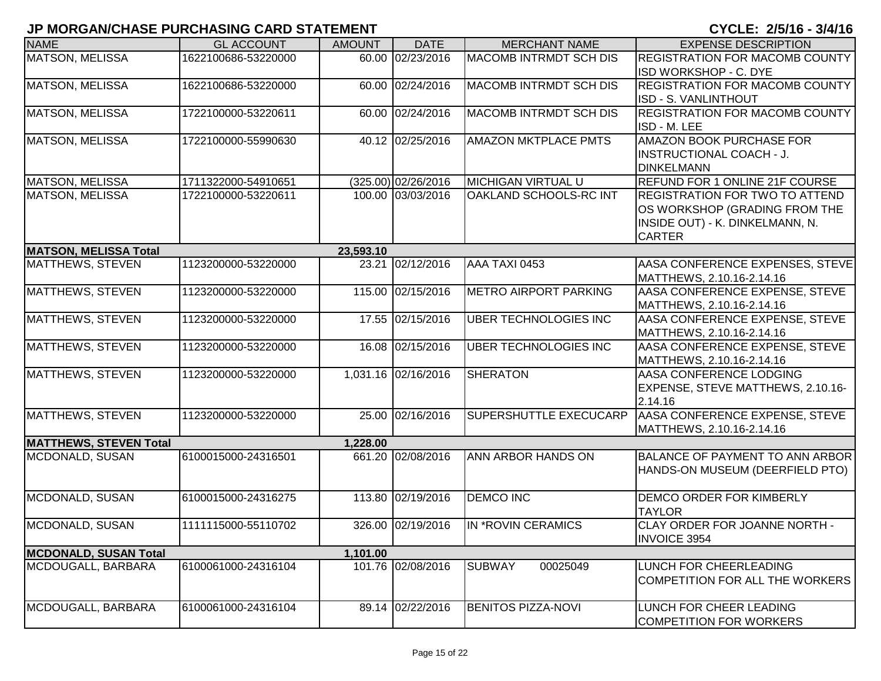| 60.00 02/23/2016<br>MATSON, MELISSA<br>MACOMB INTRMDT SCH DIS<br>1622100686-53220000<br><b>REGISTRATION FOR MACOMB COUNTY</b><br>ISD WORKSHOP - C. DYE<br><b>MACOMB INTRMDT SCH DIS</b><br><b>REGISTRATION FOR MACOMB COUNTY</b><br><b>MATSON, MELISSA</b><br>60.00 02/24/2016<br>1622100686-53220000<br>ISD - S. VANLINTHOUT<br><b>MACOMB INTRMDT SCH DIS</b><br><b>REGISTRATION FOR MACOMB COUNTY</b><br><b>MATSON, MELISSA</b><br>1722100000-53220611<br>60.00 02/24/2016<br>ISD - M. LEE<br><b>MATSON, MELISSA</b><br>40.12 02/25/2016<br><b>AMAZON MKTPLACE PMTS</b><br><b>AMAZON BOOK PURCHASE FOR</b><br>1722100000-55990630<br><b>INSTRUCTIONAL COACH - J.</b><br><b>DINKELMANN</b><br><b>MATSON, MELISSA</b><br>$(325.00)$ 02/26/2016<br><b>MICHIGAN VIRTUAL U</b><br><b>REFUND FOR 1 ONLINE 21F COURSE</b><br>1711322000-54910651<br><b>MATSON, MELISSA</b><br>100.00 03/03/2016<br>OAKLAND SCHOOLS-RC INT<br><b>REGISTRATION FOR TWO TO ATTEND</b><br>1722100000-53220611<br>OS WORKSHOP (GRADING FROM THE<br>INSIDE OUT) - K. DINKELMANN, N.<br><b>CARTER</b><br><b>MATSON, MELISSA Total</b><br>23,593.10<br>AAA TAXI 0453<br>AASA CONFERENCE EXPENSES, STEVE<br><b>MATTHEWS, STEVEN</b><br>1123200000-53220000<br>02/12/2016<br>23.21<br>MATTHEWS, 2.10.16-2.14.16<br><b>MATTHEWS, STEVEN</b><br>115.00 02/15/2016<br><b>METRO AIRPORT PARKING</b><br>1123200000-53220000<br>AASA CONFERENCE EXPENSE, STEVE<br>MATTHEWS, 2.10.16-2.14.16<br><b>MATTHEWS, STEVEN</b><br>17.55 02/15/2016<br><b>UBER TECHNOLOGIES INC</b><br>AASA CONFERENCE EXPENSE, STEVE<br>1123200000-53220000<br>MATTHEWS, 2.10.16-2.14.16<br>MATTHEWS, STEVEN<br>1123200000-53220000<br>16.08 02/15/2016<br>UBER TECHNOLOGIES INC<br>AASA CONFERENCE EXPENSE, STEVE<br>MATTHEWS, 2.10.16-2.14.16<br>MATTHEWS, STEVEN<br>1,031.16 02/16/2016<br><b>SHERATON</b><br>AASA CONFERENCE LODGING<br>1123200000-53220000<br>EXPENSE, STEVE MATTHEWS, 2.10.16-<br>2.14.16<br>AASA CONFERENCE EXPENSE, STEVE<br>MATTHEWS, STEVEN<br>25.00 02/16/2016<br>SUPERSHUTTLE EXECUCARP<br>1123200000-53220000<br>MATTHEWS, 2.10.16-2.14.16<br><b>MATTHEWS, STEVEN Total</b><br>1,228.00<br>661.20 02/08/2016<br>ANN ARBOR HANDS ON<br>MCDONALD, SUSAN<br>6100015000-24316501<br>HANDS-ON MUSEUM (DEERFIELD PTO)<br>MCDONALD, SUSAN<br>113.80 02/19/2016<br><b>DEMCO INC</b><br><b>DEMCO ORDER FOR KIMBERLY</b><br>6100015000-24316275<br><b>TAYLOR</b><br><b>IN *ROVIN CERAMICS</b><br>CLAY ORDER FOR JOANNE NORTH -<br>MCDONALD, SUSAN<br>1111115000-55110702<br>326.00 02/19/2016<br><b>INVOICE 3954</b><br><b>MCDONALD, SUSAN Total</b><br>1,101.00<br>6100061000-24316104<br>101.76 02/08/2016<br>MCDOUGALL, BARBARA<br><b>SUBWAY</b><br>00025049<br>LUNCH FOR CHEERLEADING | <b>NAME</b> | <b>GL ACCOUNT</b> | <b>AMOUNT</b> | <b>DATE</b> | <b>MERCHANT NAME</b> | <b>EXPENSE DESCRIPTION</b> |
|-------------------------------------------------------------------------------------------------------------------------------------------------------------------------------------------------------------------------------------------------------------------------------------------------------------------------------------------------------------------------------------------------------------------------------------------------------------------------------------------------------------------------------------------------------------------------------------------------------------------------------------------------------------------------------------------------------------------------------------------------------------------------------------------------------------------------------------------------------------------------------------------------------------------------------------------------------------------------------------------------------------------------------------------------------------------------------------------------------------------------------------------------------------------------------------------------------------------------------------------------------------------------------------------------------------------------------------------------------------------------------------------------------------------------------------------------------------------------------------------------------------------------------------------------------------------------------------------------------------------------------------------------------------------------------------------------------------------------------------------------------------------------------------------------------------------------------------------------------------------------------------------------------------------------------------------------------------------------------------------------------------------------------------------------------------------------------------------------------------------------------------------------------------------------------------------------------------------------------------------------------------------------------------------------------------------------------------------------------------------------------------------------------------------------------------------------------------------------------------------------------------------------------------------------------------------------------------------------------------------------------------------------------------------------------------------------------------------------------------------------|-------------|-------------------|---------------|-------------|----------------------|----------------------------|
|                                                                                                                                                                                                                                                                                                                                                                                                                                                                                                                                                                                                                                                                                                                                                                                                                                                                                                                                                                                                                                                                                                                                                                                                                                                                                                                                                                                                                                                                                                                                                                                                                                                                                                                                                                                                                                                                                                                                                                                                                                                                                                                                                                                                                                                                                                                                                                                                                                                                                                                                                                                                                                                                                                                                                 |             |                   |               |             |                      |                            |
|                                                                                                                                                                                                                                                                                                                                                                                                                                                                                                                                                                                                                                                                                                                                                                                                                                                                                                                                                                                                                                                                                                                                                                                                                                                                                                                                                                                                                                                                                                                                                                                                                                                                                                                                                                                                                                                                                                                                                                                                                                                                                                                                                                                                                                                                                                                                                                                                                                                                                                                                                                                                                                                                                                                                                 |             |                   |               |             |                      |                            |
|                                                                                                                                                                                                                                                                                                                                                                                                                                                                                                                                                                                                                                                                                                                                                                                                                                                                                                                                                                                                                                                                                                                                                                                                                                                                                                                                                                                                                                                                                                                                                                                                                                                                                                                                                                                                                                                                                                                                                                                                                                                                                                                                                                                                                                                                                                                                                                                                                                                                                                                                                                                                                                                                                                                                                 |             |                   |               |             |                      |                            |
|                                                                                                                                                                                                                                                                                                                                                                                                                                                                                                                                                                                                                                                                                                                                                                                                                                                                                                                                                                                                                                                                                                                                                                                                                                                                                                                                                                                                                                                                                                                                                                                                                                                                                                                                                                                                                                                                                                                                                                                                                                                                                                                                                                                                                                                                                                                                                                                                                                                                                                                                                                                                                                                                                                                                                 |             |                   |               |             |                      |                            |
|                                                                                                                                                                                                                                                                                                                                                                                                                                                                                                                                                                                                                                                                                                                                                                                                                                                                                                                                                                                                                                                                                                                                                                                                                                                                                                                                                                                                                                                                                                                                                                                                                                                                                                                                                                                                                                                                                                                                                                                                                                                                                                                                                                                                                                                                                                                                                                                                                                                                                                                                                                                                                                                                                                                                                 |             |                   |               |             |                      |                            |
|                                                                                                                                                                                                                                                                                                                                                                                                                                                                                                                                                                                                                                                                                                                                                                                                                                                                                                                                                                                                                                                                                                                                                                                                                                                                                                                                                                                                                                                                                                                                                                                                                                                                                                                                                                                                                                                                                                                                                                                                                                                                                                                                                                                                                                                                                                                                                                                                                                                                                                                                                                                                                                                                                                                                                 |             |                   |               |             |                      |                            |
|                                                                                                                                                                                                                                                                                                                                                                                                                                                                                                                                                                                                                                                                                                                                                                                                                                                                                                                                                                                                                                                                                                                                                                                                                                                                                                                                                                                                                                                                                                                                                                                                                                                                                                                                                                                                                                                                                                                                                                                                                                                                                                                                                                                                                                                                                                                                                                                                                                                                                                                                                                                                                                                                                                                                                 |             |                   |               |             |                      |                            |
|                                                                                                                                                                                                                                                                                                                                                                                                                                                                                                                                                                                                                                                                                                                                                                                                                                                                                                                                                                                                                                                                                                                                                                                                                                                                                                                                                                                                                                                                                                                                                                                                                                                                                                                                                                                                                                                                                                                                                                                                                                                                                                                                                                                                                                                                                                                                                                                                                                                                                                                                                                                                                                                                                                                                                 |             |                   |               |             |                      |                            |
|                                                                                                                                                                                                                                                                                                                                                                                                                                                                                                                                                                                                                                                                                                                                                                                                                                                                                                                                                                                                                                                                                                                                                                                                                                                                                                                                                                                                                                                                                                                                                                                                                                                                                                                                                                                                                                                                                                                                                                                                                                                                                                                                                                                                                                                                                                                                                                                                                                                                                                                                                                                                                                                                                                                                                 |             |                   |               |             |                      |                            |
|                                                                                                                                                                                                                                                                                                                                                                                                                                                                                                                                                                                                                                                                                                                                                                                                                                                                                                                                                                                                                                                                                                                                                                                                                                                                                                                                                                                                                                                                                                                                                                                                                                                                                                                                                                                                                                                                                                                                                                                                                                                                                                                                                                                                                                                                                                                                                                                                                                                                                                                                                                                                                                                                                                                                                 |             |                   |               |             |                      |                            |
|                                                                                                                                                                                                                                                                                                                                                                                                                                                                                                                                                                                                                                                                                                                                                                                                                                                                                                                                                                                                                                                                                                                                                                                                                                                                                                                                                                                                                                                                                                                                                                                                                                                                                                                                                                                                                                                                                                                                                                                                                                                                                                                                                                                                                                                                                                                                                                                                                                                                                                                                                                                                                                                                                                                                                 |             |                   |               |             |                      |                            |
|                                                                                                                                                                                                                                                                                                                                                                                                                                                                                                                                                                                                                                                                                                                                                                                                                                                                                                                                                                                                                                                                                                                                                                                                                                                                                                                                                                                                                                                                                                                                                                                                                                                                                                                                                                                                                                                                                                                                                                                                                                                                                                                                                                                                                                                                                                                                                                                                                                                                                                                                                                                                                                                                                                                                                 |             |                   |               |             |                      |                            |
|                                                                                                                                                                                                                                                                                                                                                                                                                                                                                                                                                                                                                                                                                                                                                                                                                                                                                                                                                                                                                                                                                                                                                                                                                                                                                                                                                                                                                                                                                                                                                                                                                                                                                                                                                                                                                                                                                                                                                                                                                                                                                                                                                                                                                                                                                                                                                                                                                                                                                                                                                                                                                                                                                                                                                 |             |                   |               |             |                      |                            |
|                                                                                                                                                                                                                                                                                                                                                                                                                                                                                                                                                                                                                                                                                                                                                                                                                                                                                                                                                                                                                                                                                                                                                                                                                                                                                                                                                                                                                                                                                                                                                                                                                                                                                                                                                                                                                                                                                                                                                                                                                                                                                                                                                                                                                                                                                                                                                                                                                                                                                                                                                                                                                                                                                                                                                 |             |                   |               |             |                      |                            |
|                                                                                                                                                                                                                                                                                                                                                                                                                                                                                                                                                                                                                                                                                                                                                                                                                                                                                                                                                                                                                                                                                                                                                                                                                                                                                                                                                                                                                                                                                                                                                                                                                                                                                                                                                                                                                                                                                                                                                                                                                                                                                                                                                                                                                                                                                                                                                                                                                                                                                                                                                                                                                                                                                                                                                 |             |                   |               |             |                      |                            |
|                                                                                                                                                                                                                                                                                                                                                                                                                                                                                                                                                                                                                                                                                                                                                                                                                                                                                                                                                                                                                                                                                                                                                                                                                                                                                                                                                                                                                                                                                                                                                                                                                                                                                                                                                                                                                                                                                                                                                                                                                                                                                                                                                                                                                                                                                                                                                                                                                                                                                                                                                                                                                                                                                                                                                 |             |                   |               |             |                      |                            |
|                                                                                                                                                                                                                                                                                                                                                                                                                                                                                                                                                                                                                                                                                                                                                                                                                                                                                                                                                                                                                                                                                                                                                                                                                                                                                                                                                                                                                                                                                                                                                                                                                                                                                                                                                                                                                                                                                                                                                                                                                                                                                                                                                                                                                                                                                                                                                                                                                                                                                                                                                                                                                                                                                                                                                 |             |                   |               |             |                      |                            |
|                                                                                                                                                                                                                                                                                                                                                                                                                                                                                                                                                                                                                                                                                                                                                                                                                                                                                                                                                                                                                                                                                                                                                                                                                                                                                                                                                                                                                                                                                                                                                                                                                                                                                                                                                                                                                                                                                                                                                                                                                                                                                                                                                                                                                                                                                                                                                                                                                                                                                                                                                                                                                                                                                                                                                 |             |                   |               |             |                      |                            |
| <b>BALANCE OF PAYMENT TO ANN ARBOR</b><br>COMPETITION FOR ALL THE WORKERS                                                                                                                                                                                                                                                                                                                                                                                                                                                                                                                                                                                                                                                                                                                                                                                                                                                                                                                                                                                                                                                                                                                                                                                                                                                                                                                                                                                                                                                                                                                                                                                                                                                                                                                                                                                                                                                                                                                                                                                                                                                                                                                                                                                                                                                                                                                                                                                                                                                                                                                                                                                                                                                                       |             |                   |               |             |                      |                            |
|                                                                                                                                                                                                                                                                                                                                                                                                                                                                                                                                                                                                                                                                                                                                                                                                                                                                                                                                                                                                                                                                                                                                                                                                                                                                                                                                                                                                                                                                                                                                                                                                                                                                                                                                                                                                                                                                                                                                                                                                                                                                                                                                                                                                                                                                                                                                                                                                                                                                                                                                                                                                                                                                                                                                                 |             |                   |               |             |                      |                            |
|                                                                                                                                                                                                                                                                                                                                                                                                                                                                                                                                                                                                                                                                                                                                                                                                                                                                                                                                                                                                                                                                                                                                                                                                                                                                                                                                                                                                                                                                                                                                                                                                                                                                                                                                                                                                                                                                                                                                                                                                                                                                                                                                                                                                                                                                                                                                                                                                                                                                                                                                                                                                                                                                                                                                                 |             |                   |               |             |                      |                            |
|                                                                                                                                                                                                                                                                                                                                                                                                                                                                                                                                                                                                                                                                                                                                                                                                                                                                                                                                                                                                                                                                                                                                                                                                                                                                                                                                                                                                                                                                                                                                                                                                                                                                                                                                                                                                                                                                                                                                                                                                                                                                                                                                                                                                                                                                                                                                                                                                                                                                                                                                                                                                                                                                                                                                                 |             |                   |               |             |                      |                            |
|                                                                                                                                                                                                                                                                                                                                                                                                                                                                                                                                                                                                                                                                                                                                                                                                                                                                                                                                                                                                                                                                                                                                                                                                                                                                                                                                                                                                                                                                                                                                                                                                                                                                                                                                                                                                                                                                                                                                                                                                                                                                                                                                                                                                                                                                                                                                                                                                                                                                                                                                                                                                                                                                                                                                                 |             |                   |               |             |                      |                            |
|                                                                                                                                                                                                                                                                                                                                                                                                                                                                                                                                                                                                                                                                                                                                                                                                                                                                                                                                                                                                                                                                                                                                                                                                                                                                                                                                                                                                                                                                                                                                                                                                                                                                                                                                                                                                                                                                                                                                                                                                                                                                                                                                                                                                                                                                                                                                                                                                                                                                                                                                                                                                                                                                                                                                                 |             |                   |               |             |                      |                            |
|                                                                                                                                                                                                                                                                                                                                                                                                                                                                                                                                                                                                                                                                                                                                                                                                                                                                                                                                                                                                                                                                                                                                                                                                                                                                                                                                                                                                                                                                                                                                                                                                                                                                                                                                                                                                                                                                                                                                                                                                                                                                                                                                                                                                                                                                                                                                                                                                                                                                                                                                                                                                                                                                                                                                                 |             |                   |               |             |                      |                            |
|                                                                                                                                                                                                                                                                                                                                                                                                                                                                                                                                                                                                                                                                                                                                                                                                                                                                                                                                                                                                                                                                                                                                                                                                                                                                                                                                                                                                                                                                                                                                                                                                                                                                                                                                                                                                                                                                                                                                                                                                                                                                                                                                                                                                                                                                                                                                                                                                                                                                                                                                                                                                                                                                                                                                                 |             |                   |               |             |                      |                            |
|                                                                                                                                                                                                                                                                                                                                                                                                                                                                                                                                                                                                                                                                                                                                                                                                                                                                                                                                                                                                                                                                                                                                                                                                                                                                                                                                                                                                                                                                                                                                                                                                                                                                                                                                                                                                                                                                                                                                                                                                                                                                                                                                                                                                                                                                                                                                                                                                                                                                                                                                                                                                                                                                                                                                                 |             |                   |               |             |                      |                            |
|                                                                                                                                                                                                                                                                                                                                                                                                                                                                                                                                                                                                                                                                                                                                                                                                                                                                                                                                                                                                                                                                                                                                                                                                                                                                                                                                                                                                                                                                                                                                                                                                                                                                                                                                                                                                                                                                                                                                                                                                                                                                                                                                                                                                                                                                                                                                                                                                                                                                                                                                                                                                                                                                                                                                                 |             |                   |               |             |                      |                            |
|                                                                                                                                                                                                                                                                                                                                                                                                                                                                                                                                                                                                                                                                                                                                                                                                                                                                                                                                                                                                                                                                                                                                                                                                                                                                                                                                                                                                                                                                                                                                                                                                                                                                                                                                                                                                                                                                                                                                                                                                                                                                                                                                                                                                                                                                                                                                                                                                                                                                                                                                                                                                                                                                                                                                                 |             |                   |               |             |                      |                            |
|                                                                                                                                                                                                                                                                                                                                                                                                                                                                                                                                                                                                                                                                                                                                                                                                                                                                                                                                                                                                                                                                                                                                                                                                                                                                                                                                                                                                                                                                                                                                                                                                                                                                                                                                                                                                                                                                                                                                                                                                                                                                                                                                                                                                                                                                                                                                                                                                                                                                                                                                                                                                                                                                                                                                                 |             |                   |               |             |                      |                            |
|                                                                                                                                                                                                                                                                                                                                                                                                                                                                                                                                                                                                                                                                                                                                                                                                                                                                                                                                                                                                                                                                                                                                                                                                                                                                                                                                                                                                                                                                                                                                                                                                                                                                                                                                                                                                                                                                                                                                                                                                                                                                                                                                                                                                                                                                                                                                                                                                                                                                                                                                                                                                                                                                                                                                                 |             |                   |               |             |                      |                            |
|                                                                                                                                                                                                                                                                                                                                                                                                                                                                                                                                                                                                                                                                                                                                                                                                                                                                                                                                                                                                                                                                                                                                                                                                                                                                                                                                                                                                                                                                                                                                                                                                                                                                                                                                                                                                                                                                                                                                                                                                                                                                                                                                                                                                                                                                                                                                                                                                                                                                                                                                                                                                                                                                                                                                                 |             |                   |               |             |                      |                            |
|                                                                                                                                                                                                                                                                                                                                                                                                                                                                                                                                                                                                                                                                                                                                                                                                                                                                                                                                                                                                                                                                                                                                                                                                                                                                                                                                                                                                                                                                                                                                                                                                                                                                                                                                                                                                                                                                                                                                                                                                                                                                                                                                                                                                                                                                                                                                                                                                                                                                                                                                                                                                                                                                                                                                                 |             |                   |               |             |                      |                            |
|                                                                                                                                                                                                                                                                                                                                                                                                                                                                                                                                                                                                                                                                                                                                                                                                                                                                                                                                                                                                                                                                                                                                                                                                                                                                                                                                                                                                                                                                                                                                                                                                                                                                                                                                                                                                                                                                                                                                                                                                                                                                                                                                                                                                                                                                                                                                                                                                                                                                                                                                                                                                                                                                                                                                                 |             |                   |               |             |                      |                            |
|                                                                                                                                                                                                                                                                                                                                                                                                                                                                                                                                                                                                                                                                                                                                                                                                                                                                                                                                                                                                                                                                                                                                                                                                                                                                                                                                                                                                                                                                                                                                                                                                                                                                                                                                                                                                                                                                                                                                                                                                                                                                                                                                                                                                                                                                                                                                                                                                                                                                                                                                                                                                                                                                                                                                                 |             |                   |               |             |                      |                            |
|                                                                                                                                                                                                                                                                                                                                                                                                                                                                                                                                                                                                                                                                                                                                                                                                                                                                                                                                                                                                                                                                                                                                                                                                                                                                                                                                                                                                                                                                                                                                                                                                                                                                                                                                                                                                                                                                                                                                                                                                                                                                                                                                                                                                                                                                                                                                                                                                                                                                                                                                                                                                                                                                                                                                                 |             |                   |               |             |                      |                            |
|                                                                                                                                                                                                                                                                                                                                                                                                                                                                                                                                                                                                                                                                                                                                                                                                                                                                                                                                                                                                                                                                                                                                                                                                                                                                                                                                                                                                                                                                                                                                                                                                                                                                                                                                                                                                                                                                                                                                                                                                                                                                                                                                                                                                                                                                                                                                                                                                                                                                                                                                                                                                                                                                                                                                                 |             |                   |               |             |                      |                            |
|                                                                                                                                                                                                                                                                                                                                                                                                                                                                                                                                                                                                                                                                                                                                                                                                                                                                                                                                                                                                                                                                                                                                                                                                                                                                                                                                                                                                                                                                                                                                                                                                                                                                                                                                                                                                                                                                                                                                                                                                                                                                                                                                                                                                                                                                                                                                                                                                                                                                                                                                                                                                                                                                                                                                                 |             |                   |               |             |                      |                            |
|                                                                                                                                                                                                                                                                                                                                                                                                                                                                                                                                                                                                                                                                                                                                                                                                                                                                                                                                                                                                                                                                                                                                                                                                                                                                                                                                                                                                                                                                                                                                                                                                                                                                                                                                                                                                                                                                                                                                                                                                                                                                                                                                                                                                                                                                                                                                                                                                                                                                                                                                                                                                                                                                                                                                                 |             |                   |               |             |                      |                            |
|                                                                                                                                                                                                                                                                                                                                                                                                                                                                                                                                                                                                                                                                                                                                                                                                                                                                                                                                                                                                                                                                                                                                                                                                                                                                                                                                                                                                                                                                                                                                                                                                                                                                                                                                                                                                                                                                                                                                                                                                                                                                                                                                                                                                                                                                                                                                                                                                                                                                                                                                                                                                                                                                                                                                                 |             |                   |               |             |                      |                            |
| MCDOUGALL, BARBARA<br>89.14 02/22/2016<br>LUNCH FOR CHEER LEADING<br>6100061000-24316104<br><b>BENITOS PIZZA-NOVI</b>                                                                                                                                                                                                                                                                                                                                                                                                                                                                                                                                                                                                                                                                                                                                                                                                                                                                                                                                                                                                                                                                                                                                                                                                                                                                                                                                                                                                                                                                                                                                                                                                                                                                                                                                                                                                                                                                                                                                                                                                                                                                                                                                                                                                                                                                                                                                                                                                                                                                                                                                                                                                                           |             |                   |               |             |                      |                            |
| <b>COMPETITION FOR WORKERS</b>                                                                                                                                                                                                                                                                                                                                                                                                                                                                                                                                                                                                                                                                                                                                                                                                                                                                                                                                                                                                                                                                                                                                                                                                                                                                                                                                                                                                                                                                                                                                                                                                                                                                                                                                                                                                                                                                                                                                                                                                                                                                                                                                                                                                                                                                                                                                                                                                                                                                                                                                                                                                                                                                                                                  |             |                   |               |             |                      |                            |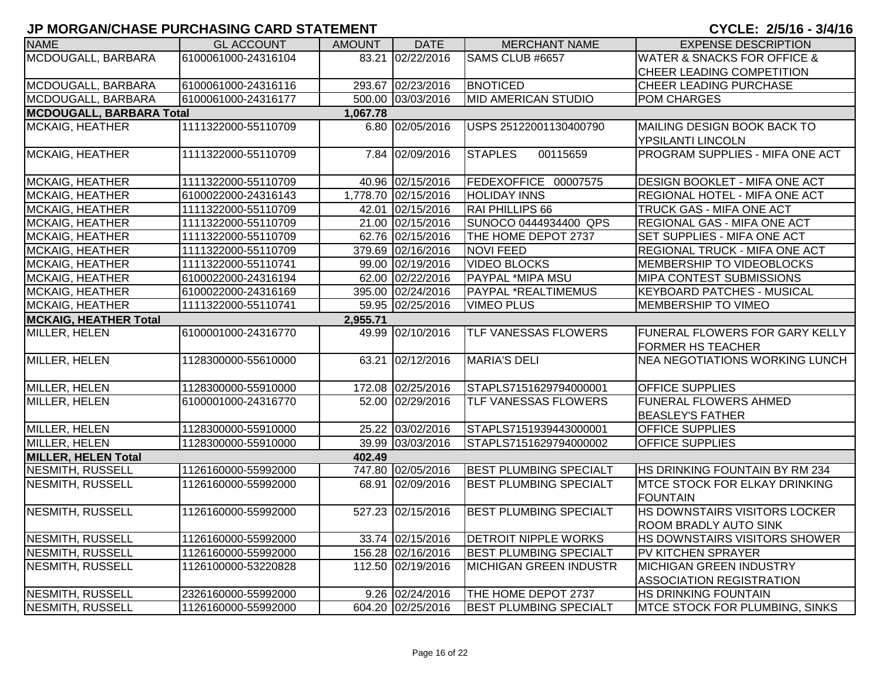| <b>NAME</b>                     | <b>GL ACCOUNT</b>   | <b>AMOUNT</b> | <b>DATE</b>         | <b>MERCHANT NAME</b>          | <b>EXPENSE DESCRIPTION</b>                 |
|---------------------------------|---------------------|---------------|---------------------|-------------------------------|--------------------------------------------|
| MCDOUGALL, BARBARA              | 6100061000-24316104 |               | 83.21 02/22/2016    | SAMS CLUB #6657               | <b>WATER &amp; SNACKS FOR OFFICE &amp;</b> |
|                                 |                     |               |                     |                               | CHEER LEADING COMPETITION                  |
| MCDOUGALL, BARBARA              | 6100061000-24316116 |               | 293.67 02/23/2016   | <b>BNOTICED</b>               | CHEER LEADING PURCHASE                     |
| MCDOUGALL, BARBARA              | 6100061000-24316177 |               | 500.00 03/03/2016   | <b>MID AMERICAN STUDIO</b>    | POM CHARGES                                |
| <b>MCDOUGALL, BARBARA Total</b> |                     | 1,067.78      |                     |                               |                                            |
| MCKAIG, HEATHER                 | 1111322000-55110709 |               | 6.80 02/05/2016     | USPS 25122001130400790        | MAILING DESIGN BOOK BACK TO                |
|                                 |                     |               |                     |                               | YPSILANTI LINCOLN                          |
| MCKAIG, HEATHER                 | 1111322000-55110709 |               | 7.84 02/09/2016     | 00115659<br><b>STAPLES</b>    | PROGRAM SUPPLIES - MIFA ONE ACT            |
|                                 |                     |               |                     |                               |                                            |
| MCKAIG, HEATHER                 | 1111322000-55110709 |               | 40.96 02/15/2016    | FEDEXOFFICE 00007575          | DESIGN BOOKLET - MIFA ONE ACT              |
| <b>MCKAIG, HEATHER</b>          | 6100022000-24316143 |               | 1,778.70 02/15/2016 | <b>HOLIDAY INNS</b>           | REGIONAL HOTEL - MIFA ONE ACT              |
| <b>MCKAIG, HEATHER</b>          | 1111322000-55110709 |               | 42.01 02/15/2016    | RAI PHILLIPS 66               | TRUCK GAS - MIFA ONE ACT                   |
| <b>MCKAIG, HEATHER</b>          | 1111322000-55110709 |               | 21.00 02/15/2016    | SUNOCO 0444934400 QPS         | REGIONAL GAS - MIFA ONE ACT                |
| <b>MCKAIG, HEATHER</b>          | 1111322000-55110709 |               | 62.76 02/15/2016    | THE HOME DEPOT 2737           | SET SUPPLIES - MIFA ONE ACT                |
| <b>MCKAIG, HEATHER</b>          | 1111322000-55110709 |               | 379.69 02/16/2016   | <b>NOVI FEED</b>              | REGIONAL TRUCK - MIFA ONE ACT              |
| <b>MCKAIG, HEATHER</b>          | 1111322000-55110741 |               | 99.00 02/19/2016    | <b>VIDEO BLOCKS</b>           | MEMBERSHIP TO VIDEOBLOCKS                  |
| <b>MCKAIG, HEATHER</b>          | 6100022000-24316194 |               | 62.00 02/22/2016    | PAYPAL *MIPA MSU              | MIPA CONTEST SUBMISSIONS                   |
| <b>MCKAIG, HEATHER</b>          | 6100022000-24316169 |               | 395.00 02/24/2016   | <b>PAYPAL *REALTIMEMUS</b>    | <b>KEYBOARD PATCHES - MUSICAL</b>          |
| <b>MCKAIG, HEATHER</b>          | 1111322000-55110741 |               | 59.95 02/25/2016    | <b>VIMEO PLUS</b>             | MEMBERSHIP TO VIMEO                        |
| <b>MCKAIG, HEATHER Total</b>    |                     | 2,955.71      |                     |                               |                                            |
| MILLER, HELEN                   | 6100001000-24316770 | 49.99         | 02/10/2016          | <b>TLF VANESSAS FLOWERS</b>   | FUNERAL FLOWERS FOR GARY KELLY             |
|                                 |                     |               |                     |                               | <b>FORMER HS TEACHER</b>                   |
| MILLER, HELEN                   | 1128300000-55610000 | 63.21         | 02/12/2016          | <b>MARIA'S DELI</b>           | <b>NEA NEGOTIATIONS WORKING LUNCH</b>      |
|                                 |                     |               |                     |                               |                                            |
| MILLER, HELEN                   | 1128300000-55910000 |               | 172.08 02/25/2016   | STAPLS7151629794000001        | <b>OFFICE SUPPLIES</b>                     |
| MILLER, HELEN                   | 6100001000-24316770 |               | 52.00 02/29/2016    | <b>TLF VANESSAS FLOWERS</b>   | <b>FUNERAL FLOWERS AHMED</b>               |
|                                 |                     |               |                     |                               | <b>BEASLEY'S FATHER</b>                    |
| MILLER, HELEN                   | 1128300000-55910000 |               | 25.22 03/02/2016    | STAPLS7151939443000001        | OFFICE SUPPLIES                            |
| MILLER, HELEN                   | 1128300000-55910000 |               | 39.99 03/03/2016    | STAPLS7151629794000002        | <b>OFFICE SUPPLIES</b>                     |
| <b>MILLER, HELEN Total</b>      |                     | 402.49        |                     |                               |                                            |
| <b>NESMITH, RUSSELL</b>         | 1126160000-55992000 |               | 747.80 02/05/2016   | <b>BEST PLUMBING SPECIALT</b> | HS DRINKING FOUNTAIN BY RM 234             |
| <b>NESMITH, RUSSELL</b>         | 1126160000-55992000 |               | 68.91 02/09/2016    | <b>BEST PLUMBING SPECIALT</b> | MTCE STOCK FOR ELKAY DRINKING              |
|                                 |                     |               |                     |                               | <b>FOUNTAIN</b>                            |
| <b>NESMITH, RUSSELL</b>         | 1126160000-55992000 |               | 527.23 02/15/2016   | <b>BEST PLUMBING SPECIALT</b> | HS DOWNSTAIRS VISITORS LOCKER              |
|                                 |                     |               |                     |                               | <b>ROOM BRADLY AUTO SINK</b>               |
| <b>NESMITH, RUSSELL</b>         | 1126160000-55992000 |               | 33.74 02/15/2016    | <b>DETROIT NIPPLE WORKS</b>   | HS DOWNSTAIRS VISITORS SHOWER              |
| <b>NESMITH, RUSSELL</b>         | 1126160000-55992000 |               | 156.28 02/16/2016   | <b>BEST PLUMBING SPECIALT</b> | PV KITCHEN SPRAYER                         |
| NESMITH, RUSSELL                | 1126100000-53220828 |               | 112.50 02/19/2016   | <b>MICHIGAN GREEN INDUSTR</b> | <b>MICHIGAN GREEN INDUSTRY</b>             |
|                                 |                     |               |                     |                               | <b>ASSOCIATION REGISTRATION</b>            |
| <b>NESMITH, RUSSELL</b>         | 2326160000-55992000 |               | 9.26 02/24/2016     | THE HOME DEPOT 2737           | HS DRINKING FOUNTAIN                       |
| <b>NESMITH, RUSSELL</b>         | 1126160000-55992000 |               | 604.20 02/25/2016   | <b>BEST PLUMBING SPECIALT</b> | MTCE STOCK FOR PLUMBING, SINKS             |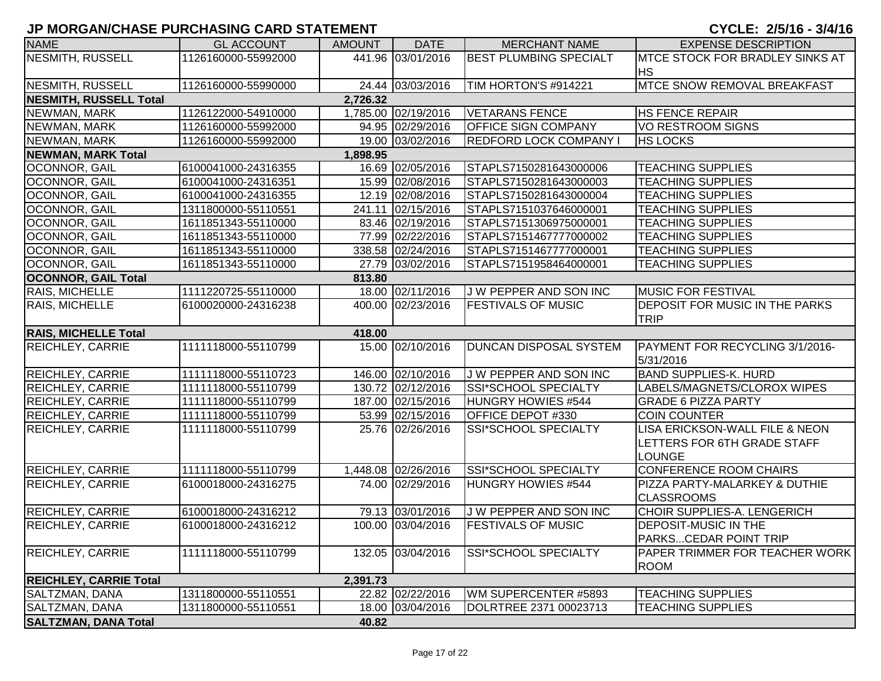| <b>NAME</b>                   | <b>GL ACCOUNT</b>   | <b>AMOUNT</b> | <b>DATE</b>         | <b>MERCHANT NAME</b>          | <b>EXPENSE DESCRIPTION</b>             |
|-------------------------------|---------------------|---------------|---------------------|-------------------------------|----------------------------------------|
| <b>NESMITH, RUSSELL</b>       | 1126160000-55992000 |               | 441.96 03/01/2016   | <b>BEST PLUMBING SPECIALT</b> | <b>MTCE STOCK FOR BRADLEY SINKS AT</b> |
|                               |                     |               |                     |                               | <b>IHS</b>                             |
| NESMITH, RUSSELL              | 1126160000-55990000 |               | 24.44 03/03/2016    | TIM HORTON'S #914221          | <b>MTCE SNOW REMOVAL BREAKFAST</b>     |
| <b>NESMITH, RUSSELL Total</b> |                     | 2,726.32      |                     |                               |                                        |
| NEWMAN, MARK                  | 1126122000-54910000 |               | 1,785.00 02/19/2016 | <b>VETARANS FENCE</b>         | <b>HS FENCE REPAIR</b>                 |
| NEWMAN, MARK                  | 1126160000-55992000 |               | 94.95 02/29/2016    | <b>OFFICE SIGN COMPANY</b>    | <b>VO RESTROOM SIGNS</b>               |
| NEWMAN, MARK                  | 1126160000-55992000 |               | 19.00 03/02/2016    | <b>REDFORD LOCK COMPANY I</b> | <b>HS LOCKS</b>                        |
| <b>NEWMAN, MARK Total</b>     |                     | 1,898.95      |                     |                               |                                        |
| <b>OCONNOR, GAIL</b>          | 6100041000-24316355 |               | 16.69 02/05/2016    | STAPLS7150281643000006        | <b>TEACHING SUPPLIES</b>               |
| <b>OCONNOR, GAIL</b>          | 6100041000-24316351 |               | 15.99 02/08/2016    | STAPLS7150281643000003        | <b>TEACHING SUPPLIES</b>               |
| OCONNOR, GAIL                 | 6100041000-24316355 |               | 12.19 02/08/2016    | STAPLS7150281643000004        | <b>TEACHING SUPPLIES</b>               |
| OCONNOR, GAIL                 | 1311800000-55110551 |               | 241.11 02/15/2016   | STAPLS7151037646000001        | <b>TEACHING SUPPLIES</b>               |
| OCONNOR, GAIL                 | 1611851343-55110000 |               | 83.46 02/19/2016    | STAPLS7151306975000001        | <b>TEACHING SUPPLIES</b>               |
| OCONNOR, GAIL                 | 1611851343-55110000 |               | 77.99 02/22/2016    | STAPLS7151467777000002        | <b>TEACHING SUPPLIES</b>               |
| OCONNOR, GAIL                 | 1611851343-55110000 |               | 338.58 02/24/2016   | STAPLS7151467777000001        | <b>TEACHING SUPPLIES</b>               |
| OCONNOR, GAIL                 | 1611851343-55110000 |               | 27.79 03/02/2016    | STAPLS7151958464000001        | <b>TEACHING SUPPLIES</b>               |
| <b>OCONNOR, GAIL Total</b>    |                     | 813.80        |                     |                               |                                        |
| RAIS, MICHELLE                | 1111220725-55110000 |               | 18.00 02/11/2016    | J W PEPPER AND SON INC        | <b>MUSIC FOR FESTIVAL</b>              |
| RAIS, MICHELLE                | 6100020000-24316238 |               | 400.00 02/23/2016   | <b>FESTIVALS OF MUSIC</b>     | <b>DEPOSIT FOR MUSIC IN THE PARKS</b>  |
|                               |                     |               |                     |                               | <b>TRIP</b>                            |
| <b>RAIS, MICHELLE Total</b>   |                     | 418.00        |                     |                               |                                        |
| REICHLEY, CARRIE              | 1111118000-55110799 |               | 15.00 02/10/2016    | <b>DUNCAN DISPOSAL SYSTEM</b> | PAYMENT FOR RECYCLING 3/1/2016-        |
|                               |                     |               |                     |                               | 5/31/2016                              |
| REICHLEY, CARRIE              | 1111118000-55110723 |               | 146.00 02/10/2016   | J W PEPPER AND SON INC        | <b>BAND SUPPLIES-K. HURD</b>           |
| REICHLEY, CARRIE              | 1111118000-55110799 |               | 130.72 02/12/2016   | SSI*SCHOOL SPECIALTY          | LABELS/MAGNETS/CLOROX WIPES            |
| REICHLEY, CARRIE              | 1111118000-55110799 |               | 187.00 02/15/2016   | HUNGRY HOWIES #544            | <b>GRADE 6 PIZZA PARTY</b>             |
| REICHLEY, CARRIE              | 1111118000-55110799 |               | 53.99 02/15/2016    | OFFICE DEPOT #330             | <b>COIN COUNTER</b>                    |
| <b>REICHLEY, CARRIE</b>       | 1111118000-55110799 |               | 25.76 02/26/2016    | SSI*SCHOOL SPECIALTY          | LISA ERICKSON-WALL FILE & NEON         |
|                               |                     |               |                     |                               | LETTERS FOR 6TH GRADE STAFF            |
|                               |                     |               |                     |                               | <b>LOUNGE</b>                          |
| <b>REICHLEY, CARRIE</b>       | 1111118000-55110799 |               | 1,448.08 02/26/2016 | SSI*SCHOOL SPECIALTY          | <b>CONFERENCE ROOM CHAIRS</b>          |
| <b>REICHLEY, CARRIE</b>       | 6100018000-24316275 |               | 74.00 02/29/2016    | HUNGRY HOWIES #544            | PIZZA PARTY-MALARKEY & DUTHIE          |
|                               |                     |               |                     |                               | <b>CLASSROOMS</b>                      |
| <b>REICHLEY, CARRIE</b>       | 6100018000-24316212 |               | 79.13 03/01/2016    | J W PEPPER AND SON INC        | CHOIR SUPPLIES-A. LENGERICH            |
| <b>REICHLEY, CARRIE</b>       | 6100018000-24316212 |               | 100.00 03/04/2016   | <b>FESTIVALS OF MUSIC</b>     | <b>DEPOSIT-MUSIC IN THE</b>            |
|                               |                     |               |                     |                               | <b>PARKSCEDAR POINT TRIP</b>           |
| <b>REICHLEY, CARRIE</b>       | 1111118000-55110799 |               | 132.05 03/04/2016   | <b>SSI*SCHOOL SPECIALTY</b>   | <b>PAPER TRIMMER FOR TEACHER WORK</b>  |
|                               |                     |               |                     |                               | <b>ROOM</b>                            |
| <b>REICHLEY, CARRIE Total</b> |                     | 2,391.73      |                     |                               |                                        |
| SALTZMAN, DANA                | 1311800000-55110551 |               | 22.82 02/22/2016    | WM SUPERCENTER #5893          | <b>TEACHING SUPPLIES</b>               |
| SALTZMAN, DANA                | 1311800000-55110551 |               | 18.00 03/04/2016    | DOLRTREE 2371 00023713        | <b>TEACHING SUPPLIES</b>               |
| <b>SALTZMAN, DANA Total</b>   |                     | 40.82         |                     |                               |                                        |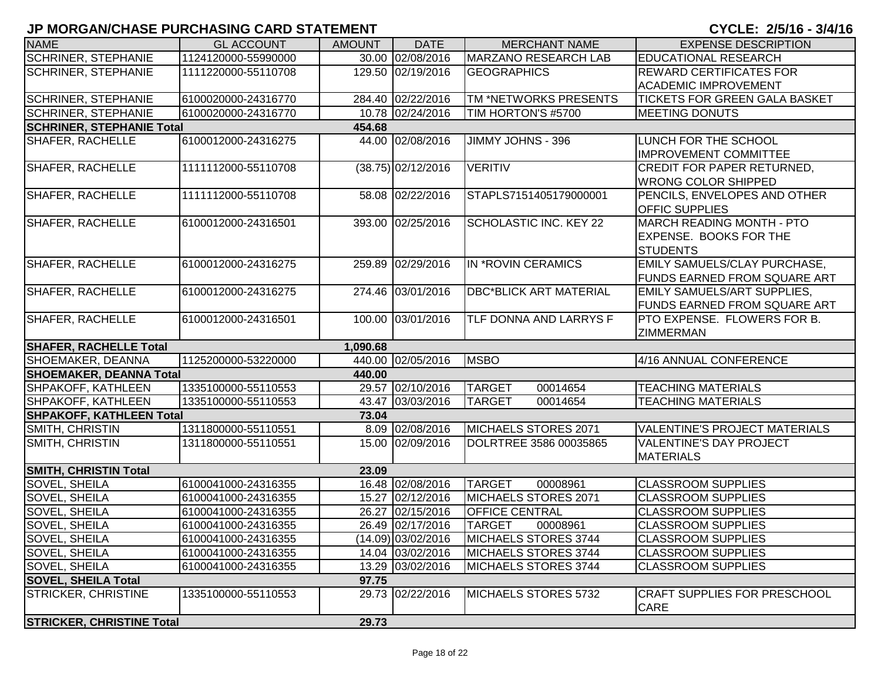| <b>NAME</b>                      | <b>GL ACCOUNT</b>   | <b>AMOUNT</b> | <b>DATE</b>          | <b>MERCHANT NAME</b>          | <b>EXPENSE DESCRIPTION</b>                  |
|----------------------------------|---------------------|---------------|----------------------|-------------------------------|---------------------------------------------|
| <b>SCHRINER, STEPHANIE</b>       | 1124120000-55990000 |               | 30.00 02/08/2016     | <b>MARZANO RESEARCH LAB</b>   | <b>EDUCATIONAL RESEARCH</b>                 |
| <b>SCHRINER, STEPHANIE</b>       | 1111220000-55110708 |               | 129.50 02/19/2016    | <b>GEOGRAPHICS</b>            | <b>REWARD CERTIFICATES FOR</b>              |
|                                  |                     |               |                      |                               | <b>ACADEMIC IMPROVEMENT</b>                 |
| <b>SCHRINER, STEPHANIE</b>       | 6100020000-24316770 |               | 284.40 02/22/2016    | TM *NETWORKS PRESENTS         | <b>TICKETS FOR GREEN GALA BASKET</b>        |
| <b>SCHRINER, STEPHANIE</b>       | 6100020000-24316770 |               | 10.78 02/24/2016     | TIM HORTON'S #5700            | <b>MEETING DONUTS</b>                       |
| <b>SCHRINER, STEPHANIE Total</b> |                     | 454.68        |                      |                               |                                             |
| <b>SHAFER, RACHELLE</b>          | 6100012000-24316275 |               | 44.00 02/08/2016     | JIMMY JOHNS - 396             | LUNCH FOR THE SCHOOL                        |
|                                  |                     |               |                      |                               | <b>IMPROVEMENT COMMITTEE</b>                |
| <b>SHAFER, RACHELLE</b>          | 1111112000-55110708 |               | $(38.75)$ 02/12/2016 | <b>VERITIV</b>                | <b>CREDIT FOR PAPER RETURNED,</b>           |
|                                  |                     |               |                      |                               | <b>WRONG COLOR SHIPPED</b>                  |
| <b>SHAFER, RACHELLE</b>          | 1111112000-55110708 |               | 58.08 02/22/2016     | STAPLS7151405179000001        | PENCILS, ENVELOPES AND OTHER                |
|                                  |                     |               |                      |                               | OFFIC SUPPLIES                              |
| SHAFER, RACHELLE                 | 6100012000-24316501 |               | 393.00 02/25/2016    | SCHOLASTIC INC. KEY 22        | <b>MARCH READING MONTH - PTO</b>            |
|                                  |                     |               |                      |                               | <b>EXPENSE. BOOKS FOR THE</b>               |
|                                  |                     |               |                      |                               | <b>STUDENTS</b>                             |
| <b>SHAFER, RACHELLE</b>          | 6100012000-24316275 |               | 259.89 02/29/2016    | IN *ROVIN CERAMICS            | EMILY SAMUELS/CLAY PURCHASE,                |
|                                  |                     |               |                      |                               | <b>FUNDS EARNED FROM SQUARE ART</b>         |
| <b>SHAFER, RACHELLE</b>          | 6100012000-24316275 |               | 274.46 03/01/2016    | <b>DBC*BLICK ART MATERIAL</b> | <b>EMILY SAMUELS/ART SUPPLIES,</b>          |
|                                  |                     |               |                      |                               | <b>FUNDS EARNED FROM SQUARE ART</b>         |
| <b>SHAFER, RACHELLE</b>          | 6100012000-24316501 |               | 100.00 03/01/2016    | TLF DONNA AND LARRYS F        | <b>PTO EXPENSE. FLOWERS FOR B.</b>          |
|                                  |                     |               |                      |                               | <b>ZIMMERMAN</b>                            |
| <b>SHAFER, RACHELLE Total</b>    |                     | 1,090.68      |                      |                               |                                             |
| SHOEMAKER, DEANNA                | 1125200000-53220000 |               | 440.00 02/05/2016    | <b>MSBO</b>                   | 4/16 ANNUAL CONFERENCE                      |
| <b>SHOEMAKER, DEANNA Total</b>   |                     | 440.00        |                      |                               |                                             |
| SHPAKOFF, KATHLEEN               | 1335100000-55110553 |               | 29.57 02/10/2016     | <b>TARGET</b><br>00014654     | <b>TEACHING MATERIALS</b>                   |
| <b>SHPAKOFF, KATHLEEN</b>        | 1335100000-55110553 |               | 43.47 03/03/2016     | <b>TARGET</b><br>00014654     | <b>TEACHING MATERIALS</b>                   |
| <b>SHPAKOFF, KATHLEEN Total</b>  |                     | 73.04         |                      |                               |                                             |
| SMITH, CHRISTIN                  | 1311800000-55110551 |               | 8.09 02/08/2016      | MICHAELS STORES 2071          | <b>VALENTINE'S PROJECT MATERIALS</b>        |
| SMITH, CHRISTIN                  | 1311800000-55110551 |               | 15.00 02/09/2016     | DOLRTREE 3586 00035865        | <b>VALENTINE'S DAY PROJECT</b>              |
|                                  |                     |               |                      |                               | <b>MATERIALS</b>                            |
| <b>SMITH, CHRISTIN Total</b>     |                     | 23.09         |                      |                               |                                             |
| SOVEL, SHEILA                    | 6100041000-24316355 |               | 16.48 02/08/2016     | <b>TARGET</b><br>00008961     | <b>CLASSROOM SUPPLIES</b>                   |
| SOVEL, SHEILA                    | 6100041000-24316355 |               | 15.27 02/12/2016     | MICHAELS STORES 2071          | <b>CLASSROOM SUPPLIES</b>                   |
| SOVEL, SHEILA                    | 6100041000-24316355 |               | 26.27 02/15/2016     | <b>OFFICE CENTRAL</b>         | <b>CLASSROOM SUPPLIES</b>                   |
| SOVEL, SHEILA                    | 6100041000-24316355 |               | 26.49 02/17/2016     | <b>TARGET</b><br>00008961     | <b>CLASSROOM SUPPLIES</b>                   |
| <b>SOVEL, SHEILA</b>             | 6100041000-24316355 |               | $(14.09)$ 03/02/2016 | MICHAELS STORES 3744          | <b>CLASSROOM SUPPLIES</b>                   |
| <b>SOVEL, SHEILA</b>             | 6100041000-24316355 |               | 14.04 03/02/2016     | MICHAELS STORES 3744          | <b>CLASSROOM SUPPLIES</b>                   |
| <b>SOVEL, SHEILA</b>             | 6100041000-24316355 |               | 13.29 03/02/2016     | MICHAELS STORES 3744          | <b>CLASSROOM SUPPLIES</b>                   |
| <b>SOVEL, SHEILA Total</b>       |                     | 97.75         |                      |                               |                                             |
| <b>STRICKER, CHRISTINE</b>       | 1335100000-55110553 |               | 29.73 02/22/2016     | MICHAELS STORES 5732          | <b>CRAFT SUPPLIES FOR PRESCHOOL</b><br>CARE |
| <b>STRICKER, CHRISTINE Total</b> |                     | 29.73         |                      |                               |                                             |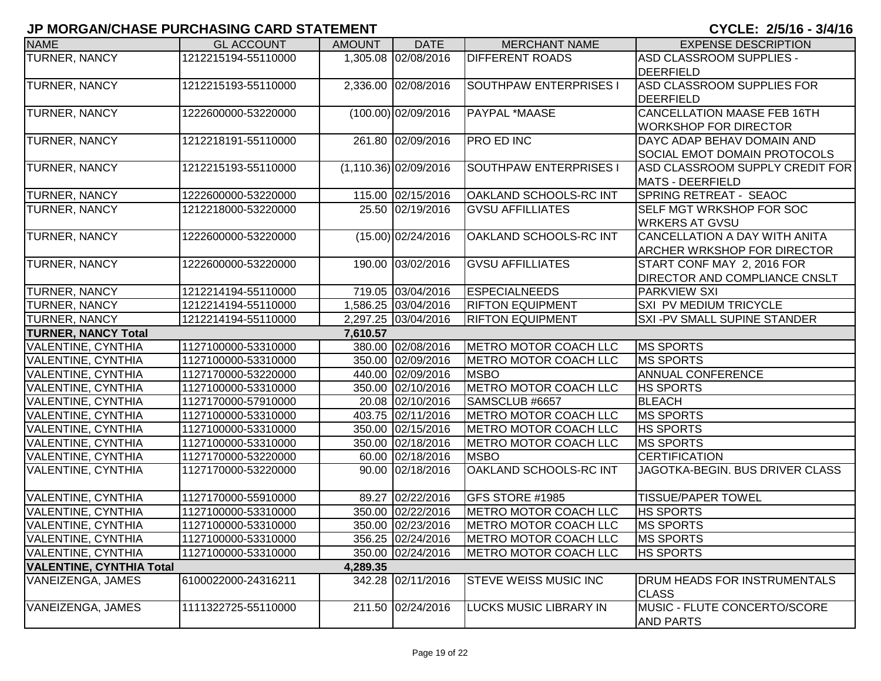| <b>NAME</b>                     | <b>GL ACCOUNT</b>   | <b>AMOUNT</b> | <b>DATE</b>              | <b>MERCHANT NAME</b>         | <b>EXPENSE DESCRIPTION</b>                          |
|---------------------------------|---------------------|---------------|--------------------------|------------------------------|-----------------------------------------------------|
| <b>TURNER, NANCY</b>            | 1212215194-55110000 |               | 1,305.08 02/08/2016      | <b>DIFFERENT ROADS</b>       | ASD CLASSROOM SUPPLIES -                            |
|                                 |                     |               |                          |                              | DEERFIELD                                           |
| <b>TURNER, NANCY</b>            | 1212215193-55110000 |               | 2,336.00 02/08/2016      | SOUTHPAW ENTERPRISES I       | ASD CLASSROOM SUPPLIES FOR                          |
|                                 |                     |               |                          |                              | DEERFIELD                                           |
| <b>TURNER, NANCY</b>            | 1222600000-53220000 |               | $(100.00)$ 02/09/2016    | PAYPAL *MAASE                | <b>CANCELLATION MAASE FEB 16TH</b>                  |
|                                 |                     |               |                          |                              | <b>WORKSHOP FOR DIRECTOR</b>                        |
| <b>TURNER, NANCY</b>            | 1212218191-55110000 |               | 261.80 02/09/2016        | <b>PRO ED INC</b>            | DAYC ADAP BEHAV DOMAIN AND                          |
|                                 |                     |               |                          |                              | SOCIAL EMOT DOMAIN PROTOCOLS                        |
| <b>TURNER, NANCY</b>            | 1212215193-55110000 |               | $(1, 110.36)$ 02/09/2016 | SOUTHPAW ENTERPRISES I       | ASD CLASSROOM SUPPLY CREDIT FOR                     |
|                                 |                     |               |                          |                              | <b>MATS - DEERFIELD</b>                             |
| <b>TURNER, NANCY</b>            | 1222600000-53220000 |               | 115.00 02/15/2016        | OAKLAND SCHOOLS-RC INT       | SPRING RETREAT - SEAOC                              |
| <b>TURNER, NANCY</b>            | 1212218000-53220000 |               | 25.50 02/19/2016         | <b>GVSU AFFILLIATES</b>      | SELF MGT WRKSHOP FOR SOC                            |
|                                 |                     |               |                          |                              | <b>WRKERS AT GVSU</b>                               |
| <b>TURNER, NANCY</b>            | 1222600000-53220000 |               | $(15.00)$ 02/24/2016     | OAKLAND SCHOOLS-RC INT       | CANCELLATION A DAY WITH ANITA                       |
|                                 |                     |               |                          |                              | <b>ARCHER WRKSHOP FOR DIRECTOR</b>                  |
| <b>TURNER, NANCY</b>            | 1222600000-53220000 |               | 190.00 03/02/2016        | <b>GVSU AFFILLIATES</b>      | START CONF MAY 2, 2016 FOR                          |
|                                 |                     |               |                          |                              | <b>DIRECTOR AND COMPLIANCE CNSLT</b>                |
| <b>TURNER, NANCY</b>            | 1212214194-55110000 |               | 719.05 03/04/2016        | <b>ESPECIALNEEDS</b>         | <b>PARKVIEW SXI</b>                                 |
| <b>TURNER, NANCY</b>            | 1212214194-55110000 |               | 1,586.25 03/04/2016      | <b>RIFTON EQUIPMENT</b>      | SXI PV MEDIUM TRICYCLE                              |
| <b>TURNER, NANCY</b>            | 1212214194-55110000 |               | 2,297.25 03/04/2016      | <b>RIFTON EQUIPMENT</b>      | SXI-PV SMALL SUPINE STANDER                         |
| <b>TURNER, NANCY Total</b>      |                     | 7,610.57      |                          |                              |                                                     |
| <b>VALENTINE, CYNTHIA</b>       | 1127100000-53310000 |               | 380.00 02/08/2016        | METRO MOTOR COACH LLC        | <b>MS SPORTS</b>                                    |
| <b>VALENTINE, CYNTHIA</b>       | 1127100000-53310000 |               | 350.00 02/09/2016        | <b>METRO MOTOR COACH LLC</b> | <b>MS SPORTS</b>                                    |
| <b>VALENTINE, CYNTHIA</b>       | 1127170000-53220000 |               | 440.00 02/09/2016        | <b>MSBO</b>                  | <b>ANNUAL CONFERENCE</b>                            |
| <b>VALENTINE, CYNTHIA</b>       | 1127100000-53310000 |               | 350.00 02/10/2016        | METRO MOTOR COACH LLC        | <b>HS SPORTS</b>                                    |
| <b>VALENTINE, CYNTHIA</b>       | 1127170000-57910000 |               | 20.08 02/10/2016         | SAMSCLUB #6657               | <b>BLEACH</b>                                       |
| <b>VALENTINE, CYNTHIA</b>       | 1127100000-53310000 |               | 403.75 02/11/2016        | <b>METRO MOTOR COACH LLC</b> | <b>MS SPORTS</b>                                    |
| <b>VALENTINE, CYNTHIA</b>       | 1127100000-53310000 |               | 350.00 02/15/2016        | METRO MOTOR COACH LLC        | <b>HS SPORTS</b>                                    |
| <b>VALENTINE, CYNTHIA</b>       | 1127100000-53310000 |               | 350.00 02/18/2016        | METRO MOTOR COACH LLC        | <b>MS SPORTS</b>                                    |
| <b>VALENTINE, CYNTHIA</b>       | 1127170000-53220000 |               | 60.00 02/18/2016         | <b>MSBO</b>                  | <b>CERTIFICATION</b>                                |
| <b>VALENTINE, CYNTHIA</b>       | 1127170000-53220000 |               | 90.00 02/18/2016         | OAKLAND SCHOOLS-RC INT       | JAGOTKA-BEGIN. BUS DRIVER CLASS                     |
| <b>VALENTINE, CYNTHIA</b>       | 1127170000-55910000 |               | 89.27 02/22/2016         | GFS STORE #1985              | <b>TISSUE/PAPER TOWEL</b>                           |
| <b>VALENTINE, CYNTHIA</b>       | 1127100000-53310000 |               | 350.00 02/22/2016        | METRO MOTOR COACH LLC        | <b>HS SPORTS</b>                                    |
| VALENTINE, CYNTHIA              | 1127100000-53310000 |               | 350.00 02/23/2016        | METRO MOTOR COACH LLC        | <b>MS SPORTS</b>                                    |
| <b>VALENTINE, CYNTHIA</b>       | 1127100000-53310000 |               | 356.25 02/24/2016        | METRO MOTOR COACH LLC        | <b>MS SPORTS</b>                                    |
| <b>VALENTINE, CYNTHIA</b>       | 1127100000-53310000 |               | 350.00 02/24/2016        | METRO MOTOR COACH LLC        | <b>HS SPORTS</b>                                    |
| <b>VALENTINE, CYNTHIA Total</b> |                     | 4,289.35      |                          |                              |                                                     |
| VANEIZENGA, JAMES               | 6100022000-24316211 |               | 342.28 02/11/2016        | <b>STEVE WEISS MUSIC INC</b> | <b>DRUM HEADS FOR INSTRUMENTALS</b><br><b>CLASS</b> |
| <b>VANEIZENGA, JAMES</b>        | 1111322725-55110000 |               | 211.50 02/24/2016        | LUCKS MUSIC LIBRARY IN       | MUSIC - FLUTE CONCERTO/SCORE<br><b>AND PARTS</b>    |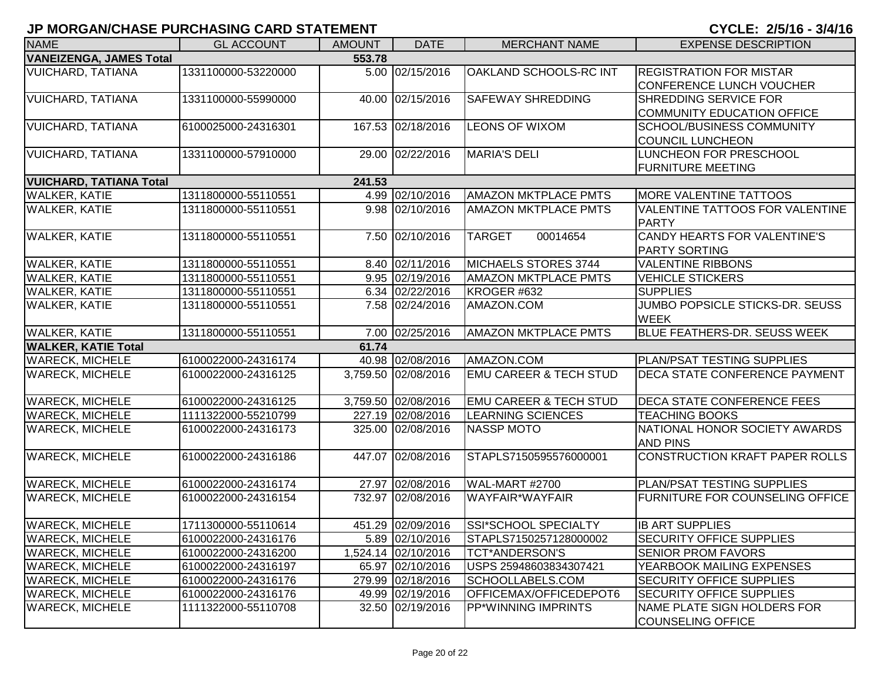| <b>NAME</b>                    | <b>GL ACCOUNT</b>   | <b>AMOUNT</b> | <b>DATE</b>         | <b>MERCHANT NAME</b>              | <b>EXPENSE DESCRIPTION</b>             |
|--------------------------------|---------------------|---------------|---------------------|-----------------------------------|----------------------------------------|
| <b>VANEIZENGA, JAMES Total</b> |                     | 553.78        |                     |                                   |                                        |
| <b>VUICHARD, TATIANA</b>       | 1331100000-53220000 |               | 5.00 02/15/2016     | OAKLAND SCHOOLS-RC INT            | <b>REGISTRATION FOR MISTAR</b>         |
|                                |                     |               |                     |                                   | CONFERENCE LUNCH VOUCHER               |
| <b>VUICHARD, TATIANA</b>       | 1331100000-55990000 |               | 40.00 02/15/2016    | <b>SAFEWAY SHREDDING</b>          | <b>SHREDDING SERVICE FOR</b>           |
|                                |                     |               |                     |                                   | COMMUNITY EDUCATION OFFICE             |
| <b>VUICHARD, TATIANA</b>       | 6100025000-24316301 |               | 167.53 02/18/2016   | <b>LEONS OF WIXOM</b>             | <b>SCHOOL/BUSINESS COMMUNITY</b>       |
|                                |                     |               |                     |                                   | <b>COUNCIL LUNCHEON</b>                |
| <b>VUICHARD, TATIANA</b>       | 1331100000-57910000 |               | 29.00 02/22/2016    | MARIA'S DELI                      | <b>LUNCHEON FOR PRESCHOOL</b>          |
|                                |                     |               |                     |                                   | <b>FURNITURE MEETING</b>               |
| <b>VUICHARD, TATIANA Total</b> |                     | 241.53        |                     |                                   |                                        |
| <b>WALKER, KATIE</b>           | 1311800000-55110551 |               | 4.99 02/10/2016     | <b>AMAZON MKTPLACE PMTS</b>       | <b>MORE VALENTINE TATTOOS</b>          |
| <b>WALKER, KATIE</b>           | 1311800000-55110551 |               | 9.98 02/10/2016     | <b>AMAZON MKTPLACE PMTS</b>       | VALENTINE TATTOOS FOR VALENTINE        |
|                                |                     |               |                     |                                   | <b>PARTY</b>                           |
| <b>WALKER, KATIE</b>           | 1311800000-55110551 |               | 7.50 02/10/2016     | <b>TARGET</b><br>00014654         | CANDY HEARTS FOR VALENTINE'S           |
|                                |                     |               |                     |                                   | <b>PARTY SORTING</b>                   |
| <b>WALKER, KATIE</b>           | 1311800000-55110551 |               | 8.40 02/11/2016     | MICHAELS STORES 3744              | <b>VALENTINE RIBBONS</b>               |
| <b>WALKER, KATIE</b>           | 1311800000-55110551 |               | 9.95 02/19/2016     | <b>AMAZON MKTPLACE PMTS</b>       | <b>VEHICLE STICKERS</b>                |
| <b>WALKER, KATIE</b>           | 1311800000-55110551 |               | 6.34 02/22/2016     | KROGER #632                       | <b>SUPPLIES</b>                        |
| <b>WALKER, KATIE</b>           | 1311800000-55110551 |               | 7.58 02/24/2016     | AMAZON.COM                        | <b>JUMBO POPSICLE STICKS-DR. SEUSS</b> |
|                                |                     |               |                     |                                   | <b>WEEK</b>                            |
| <b>WALKER, KATIE</b>           | 1311800000-55110551 | 7.00          | 02/25/2016          | <b>AMAZON MKTPLACE PMTS</b>       | <b>BLUE FEATHERS-DR. SEUSS WEEK</b>    |
| <b>WALKER, KATIE Total</b>     |                     | 61.74         |                     |                                   |                                        |
| <b>WARECK, MICHELE</b>         | 6100022000-24316174 |               | 40.98 02/08/2016    | AMAZON.COM                        | <b>PLAN/PSAT TESTING SUPPLIES</b>      |
| <b>WARECK, MICHELE</b>         | 6100022000-24316125 |               | 3,759.50 02/08/2016 | <b>EMU CAREER &amp; TECH STUD</b> | <b>DECA STATE CONFERENCE PAYMENT</b>   |
|                                |                     |               |                     |                                   |                                        |
| <b>WARECK, MICHELE</b>         | 6100022000-24316125 |               | 3,759.50 02/08/2016 | <b>EMU CAREER &amp; TECH STUD</b> | <b>DECA STATE CONFERENCE FEES</b>      |
| <b>WARECK, MICHELE</b>         | 1111322000-55210799 |               | 227.19 02/08/2016   | <b>LEARNING SCIENCES</b>          | <b>TEACHING BOOKS</b>                  |
| <b>WARECK, MICHELE</b>         | 6100022000-24316173 |               | 325.00 02/08/2016   | <b>NASSP MOTO</b>                 | NATIONAL HONOR SOCIETY AWARDS          |
|                                |                     |               |                     |                                   | <b>AND PINS</b>                        |
| <b>WARECK, MICHELE</b>         | 6100022000-24316186 |               | 447.07 02/08/2016   | STAPLS7150595576000001            | CONSTRUCTION KRAFT PAPER ROLLS         |
|                                |                     |               |                     |                                   |                                        |
| <b>WARECK, MICHELE</b>         | 6100022000-24316174 |               | 27.97 02/08/2016    | WAL-MART #2700                    | <b>PLAN/PSAT TESTING SUPPLIES</b>      |
| <b>WARECK, MICHELE</b>         | 6100022000-24316154 |               | 732.97 02/08/2016   | WAYFAIR*WAYFAIR                   | <b>FURNITURE FOR COUNSELING OFFICE</b> |
|                                |                     |               |                     |                                   |                                        |
| <b>WARECK, MICHELE</b>         | 1711300000-55110614 |               | 451.29 02/09/2016   | SSI*SCHOOL SPECIALTY              | <b>IB ART SUPPLIES</b>                 |
| <b>WARECK, MICHELE</b>         | 6100022000-24316176 |               | 5.89 02/10/2016     | STAPLS7150257128000002            | <b>SECURITY OFFICE SUPPLIES</b>        |
| <b>WARECK, MICHELE</b>         | 6100022000-24316200 |               | 1,524.14 02/10/2016 | <b>TCT*ANDERSON'S</b>             | <b>SENIOR PROM FAVORS</b>              |
| <b>WARECK, MICHELE</b>         | 6100022000-24316197 |               | 65.97 02/10/2016    | USPS 25948603834307421            | YEARBOOK MAILING EXPENSES              |
| <b>WARECK, MICHELE</b>         | 6100022000-24316176 |               | 279.99 02/18/2016   | SCHOOLLABELS.COM                  | <b>SECURITY OFFICE SUPPLIES</b>        |
| <b>WARECK, MICHELE</b>         | 6100022000-24316176 |               | 49.99 02/19/2016    | OFFICEMAX/OFFICEDEPOT6            | <b>SECURITY OFFICE SUPPLIES</b>        |
| <b>WARECK, MICHELE</b>         | 1111322000-55110708 |               | 32.50 02/19/2016    | <b>PP*WINNING IMPRINTS</b>        | NAME PLATE SIGN HOLDERS FOR            |
|                                |                     |               |                     |                                   | COUNSELING OFFICE                      |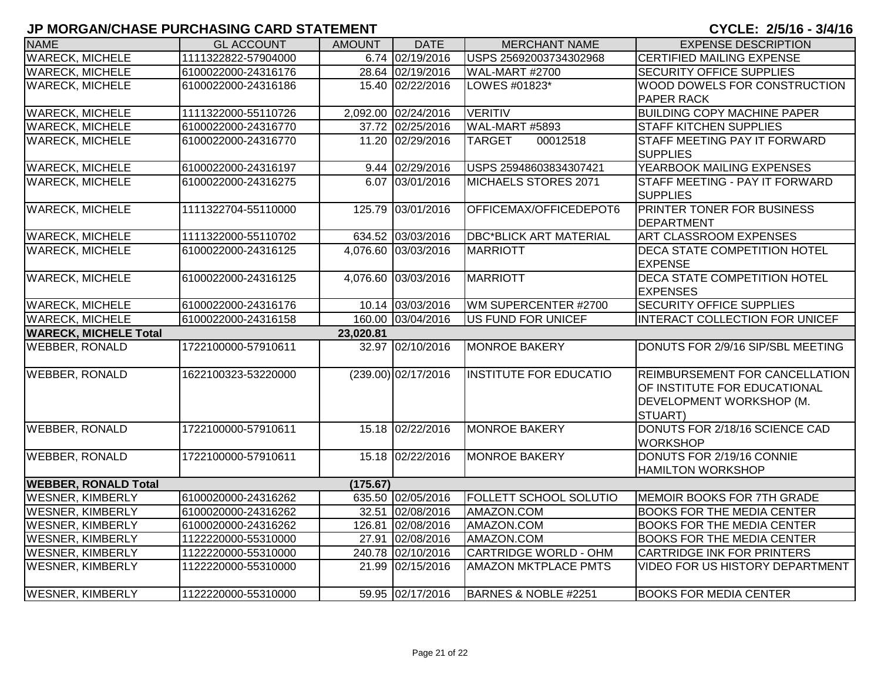| <b>NAME</b>                  | <b>GL ACCOUNT</b>   | <b>AMOUNT</b> | <b>DATE</b>           | <b>MERCHANT NAME</b>          | <b>EXPENSE DESCRIPTION</b>                                                                                   |
|------------------------------|---------------------|---------------|-----------------------|-------------------------------|--------------------------------------------------------------------------------------------------------------|
| <b>WARECK, MICHELE</b>       | 1111322822-57904000 |               | 6.74 02/19/2016       | USPS 25692003734302968        | <b>CERTIFIED MAILING EXPENSE</b>                                                                             |
| <b>WARECK, MICHELE</b>       | 6100022000-24316176 |               | 28.64 02/19/2016      | <b>WAL-MART #2700</b>         | <b>SECURITY OFFICE SUPPLIES</b>                                                                              |
| <b>WARECK, MICHELE</b>       | 6100022000-24316186 |               | 15.40 02/22/2016      | LOWES #01823*                 | <b>WOOD DOWELS FOR CONSTRUCTION</b><br><b>PAPER RACK</b>                                                     |
| <b>WARECK, MICHELE</b>       | 1111322000-55110726 |               | 2,092.00 02/24/2016   | <b>VERITIV</b>                | <b>BUILDING COPY MACHINE PAPER</b>                                                                           |
| <b>WARECK, MICHELE</b>       | 6100022000-24316770 |               | 37.72 02/25/2016      | WAL-MART #5893                | <b>STAFF KITCHEN SUPPLIES</b>                                                                                |
| <b>WARECK, MICHELE</b>       | 6100022000-24316770 |               | 11.20 02/29/2016      | 00012518<br><b>TARGET</b>     | <b>STAFF MEETING PAY IT FORWARD</b><br><b>SUPPLIES</b>                                                       |
| <b>WARECK, MICHELE</b>       | 6100022000-24316197 |               | 9.44 02/29/2016       | USPS 25948603834307421        | YEARBOOK MAILING EXPENSES                                                                                    |
| <b>WARECK, MICHELE</b>       | 6100022000-24316275 |               | 6.07 03/01/2016       | MICHAELS STORES 2071          | STAFF MEETING - PAY IT FORWARD<br><b>SUPPLIES</b>                                                            |
| <b>WARECK, MICHELE</b>       | 1111322704-55110000 |               | 125.79 03/01/2016     | OFFICEMAX/OFFICEDEPOT6        | <b>PRINTER TONER FOR BUSINESS</b><br><b>DEPARTMENT</b>                                                       |
| <b>WARECK, MICHELE</b>       | 1111322000-55110702 |               | 634.52 03/03/2016     | <b>DBC*BLICK ART MATERIAL</b> | <b>ART CLASSROOM EXPENSES</b>                                                                                |
| <b>WARECK, MICHELE</b>       | 6100022000-24316125 |               | 4,076.60 03/03/2016   | <b>MARRIOTT</b>               | <b>DECA STATE COMPETITION HOTEL</b><br><b>EXPENSE</b>                                                        |
| <b>WARECK, MICHELE</b>       | 6100022000-24316125 |               | 4,076.60 03/03/2016   | <b>MARRIOTT</b>               | <b>DECA STATE COMPETITION HOTEL</b><br><b>EXPENSES</b>                                                       |
| <b>WARECK, MICHELE</b>       | 6100022000-24316176 |               | 10.14 03/03/2016      | WM SUPERCENTER #2700          | <b>SECURITY OFFICE SUPPLIES</b>                                                                              |
| <b>WARECK, MICHELE</b>       | 6100022000-24316158 |               | 160.00 03/04/2016     | US FUND FOR UNICEF            | <b>INTERACT COLLECTION FOR UNICEF</b>                                                                        |
| <b>WARECK, MICHELE Total</b> |                     | 23,020.81     |                       |                               |                                                                                                              |
| <b>WEBBER, RONALD</b>        | 1722100000-57910611 |               | 32.97 02/10/2016      | <b>MONROE BAKERY</b>          | DONUTS FOR 2/9/16 SIP/SBL MEETING                                                                            |
| <b>WEBBER, RONALD</b>        | 1622100323-53220000 |               | $(239.00)$ 02/17/2016 | <b>INSTITUTE FOR EDUCATIO</b> | <b>REIMBURSEMENT FOR CANCELLATION</b><br>OF INSTITUTE FOR EDUCATIONAL<br>DEVELOPMENT WORKSHOP (M.<br>STUART) |
| <b>WEBBER, RONALD</b>        | 1722100000-57910611 |               | 15.18 02/22/2016      | <b>MONROE BAKERY</b>          | DONUTS FOR 2/18/16 SCIENCE CAD<br><b>WORKSHOP</b>                                                            |
| <b>WEBBER, RONALD</b>        | 1722100000-57910611 |               | 15.18 02/22/2016      | <b>MONROE BAKERY</b>          | DONUTS FOR 2/19/16 CONNIE<br><b>HAMILTON WORKSHOP</b>                                                        |
| <b>WEBBER, RONALD Total</b>  |                     | (175.67)      |                       |                               |                                                                                                              |
| <b>WESNER, KIMBERLY</b>      | 6100020000-24316262 |               | 635.50 02/05/2016     | FOLLETT SCHOOL SOLUTIO        | MEMOIR BOOKS FOR 7TH GRADE                                                                                   |
| <b>WESNER, KIMBERLY</b>      | 6100020000-24316262 |               | 32.51 02/08/2016      | AMAZON.COM                    | <b>BOOKS FOR THE MEDIA CENTER</b>                                                                            |
| <b>WESNER, KIMBERLY</b>      | 6100020000-24316262 |               | 126.81 02/08/2016     | AMAZON.COM                    | <b>BOOKS FOR THE MEDIA CENTER</b>                                                                            |
| <b>WESNER, KIMBERLY</b>      | 1122220000-55310000 |               | 27.91 02/08/2016      | AMAZON.COM                    | <b>BOOKS FOR THE MEDIA CENTER</b>                                                                            |
| <b>WESNER, KIMBERLY</b>      | 1122220000-55310000 |               | 240.78 02/10/2016     | <b>CARTRIDGE WORLD - OHM</b>  | <b>CARTRIDGE INK FOR PRINTERS</b>                                                                            |
| <b>WESNER, KIMBERLY</b>      | 1122220000-55310000 |               | 21.99 02/15/2016      | <b>AMAZON MKTPLACE PMTS</b>   | <b>VIDEO FOR US HISTORY DEPARTMENT</b>                                                                       |
| <b>WESNER, KIMBERLY</b>      | 1122220000-55310000 |               | 59.95 02/17/2016      | BARNES & NOBLE #2251          | <b>BOOKS FOR MEDIA CENTER</b>                                                                                |